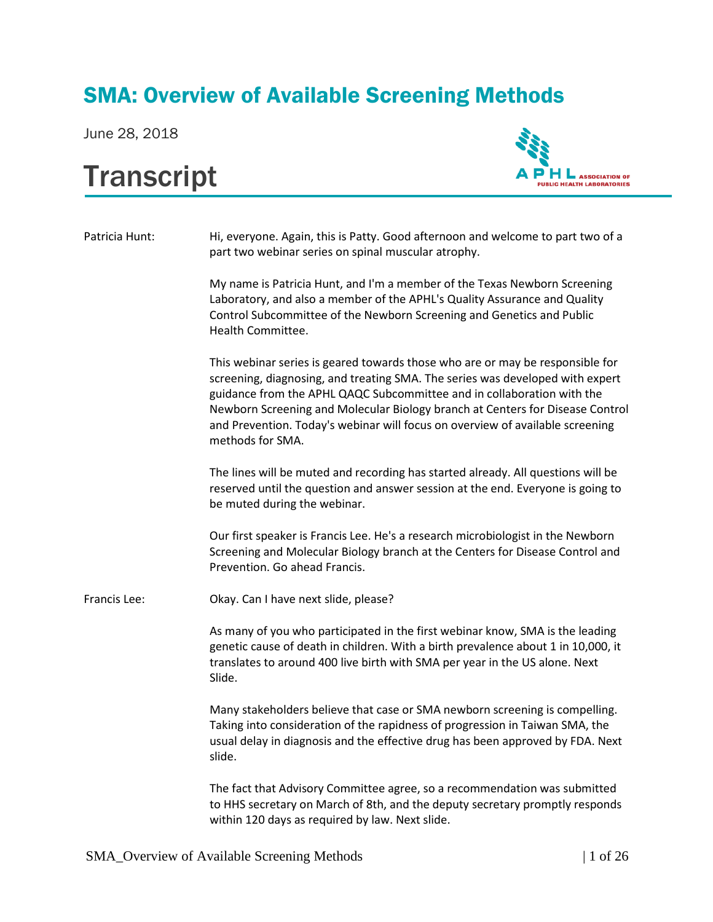## SMA: Overview of Available Screening Methods

June 28, 2018

## **Transcript**



Patricia Hunt: Hi, everyone. Again, this is Patty. Good afternoon and welcome to part two of a part two webinar series on spinal muscular atrophy.

> My name is Patricia Hunt, and I'm a member of the Texas Newborn Screening Laboratory, and also a member of the APHL's Quality Assurance and Quality Control Subcommittee of the Newborn Screening and Genetics and Public Health Committee.

This webinar series is geared towards those who are or may be responsible for screening, diagnosing, and treating SMA. The series was developed with expert guidance from the APHL QAQC Subcommittee and in collaboration with the Newborn Screening and Molecular Biology branch at Centers for Disease Control and Prevention. Today's webinar will focus on overview of available screening methods for SMA.

The lines will be muted and recording has started already. All questions will be reserved until the question and answer session at the end. Everyone is going to be muted during the webinar.

Our first speaker is Francis Lee. He's a research microbiologist in the Newborn Screening and Molecular Biology branch at the Centers for Disease Control and Prevention. Go ahead Francis.

Francis Lee: Okay. Can I have next slide, please?

As many of you who participated in the first webinar know, SMA is the leading genetic cause of death in children. With a birth prevalence about 1 in 10,000, it translates to around 400 live birth with SMA per year in the US alone. Next Slide.

Many stakeholders believe that case or SMA newborn screening is compelling. Taking into consideration of the rapidness of progression in Taiwan SMA, the usual delay in diagnosis and the effective drug has been approved by FDA. Next slide.

The fact that Advisory Committee agree, so a recommendation was submitted to HHS secretary on March of 8th, and the deputy secretary promptly responds within 120 days as required by law. Next slide.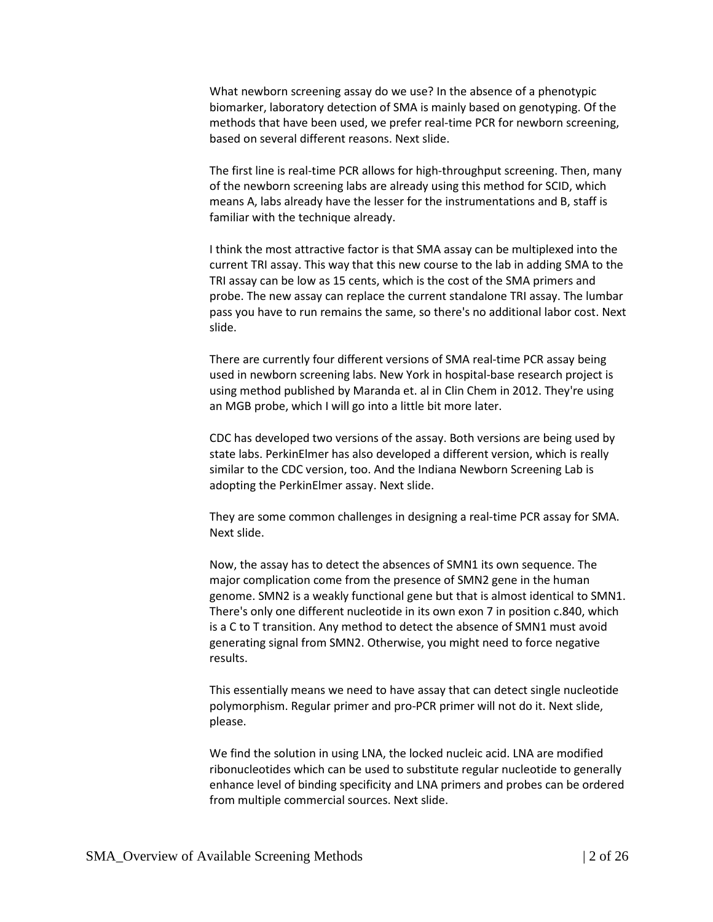What newborn screening assay do we use? In the absence of a phenotypic biomarker, laboratory detection of SMA is mainly based on genotyping. Of the methods that have been used, we prefer real-time PCR for newborn screening, based on several different reasons. Next slide.

The first line is real-time PCR allows for high-throughput screening. Then, many of the newborn screening labs are already using this method for SCID, which means A, labs already have the lesser for the instrumentations and B, staff is familiar with the technique already.

I think the most attractive factor is that SMA assay can be multiplexed into the current TRI assay. This way that this new course to the lab in adding SMA to the TRI assay can be low as 15 cents, which is the cost of the SMA primers and probe. The new assay can replace the current standalone TRI assay. The lumbar pass you have to run remains the same, so there's no additional labor cost. Next slide.

There are currently four different versions of SMA real-time PCR assay being used in newborn screening labs. New York in hospital-base research project is using method published by Maranda et. al in Clin Chem in 2012. They're using an MGB probe, which I will go into a little bit more later.

CDC has developed two versions of the assay. Both versions are being used by state labs. PerkinElmer has also developed a different version, which is really similar to the CDC version, too. And the Indiana Newborn Screening Lab is adopting the PerkinElmer assay. Next slide.

They are some common challenges in designing a real-time PCR assay for SMA. Next slide.

Now, the assay has to detect the absences of SMN1 its own sequence. The major complication come from the presence of SMN2 gene in the human genome. SMN2 is a weakly functional gene but that is almost identical to SMN1. There's only one different nucleotide in its own exon 7 in position c.840, which is a C to T transition. Any method to detect the absence of SMN1 must avoid generating signal from SMN2. Otherwise, you might need to force negative results.

This essentially means we need to have assay that can detect single nucleotide polymorphism. Regular primer and pro-PCR primer will not do it. Next slide, please.

We find the solution in using LNA, the locked nucleic acid. LNA are modified ribonucleotides which can be used to substitute regular nucleotide to generally enhance level of binding specificity and LNA primers and probes can be ordered from multiple commercial sources. Next slide.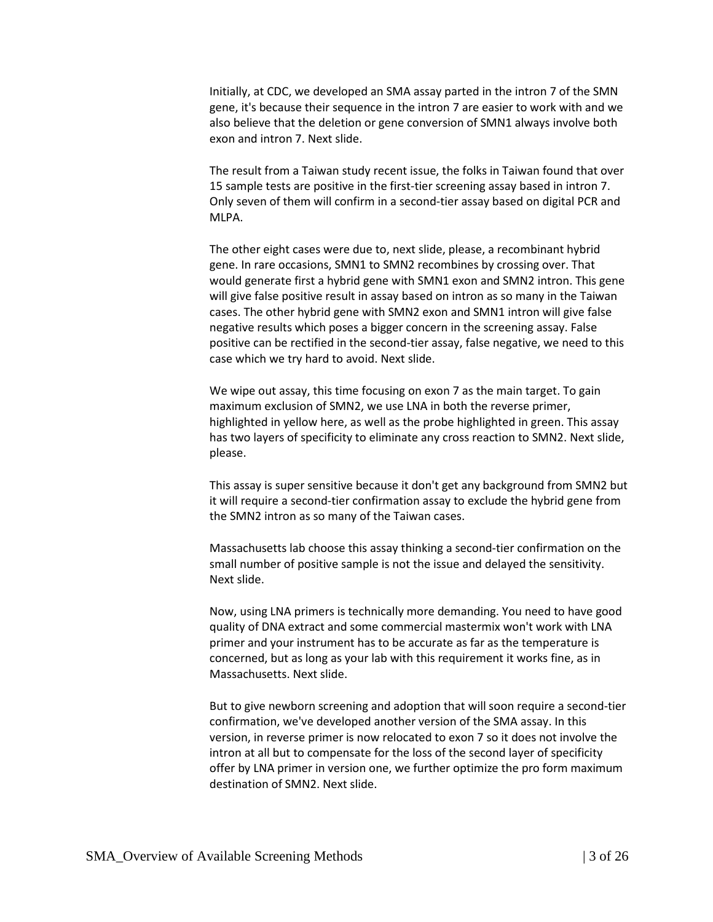Initially, at CDC, we developed an SMA assay parted in the intron 7 of the SMN gene, it's because their sequence in the intron 7 are easier to work with and we also believe that the deletion or gene conversion of SMN1 always involve both exon and intron 7. Next slide.

The result from a Taiwan study recent issue, the folks in Taiwan found that over 15 sample tests are positive in the first-tier screening assay based in intron 7. Only seven of them will confirm in a second-tier assay based on digital PCR and MLPA.

The other eight cases were due to, next slide, please, a recombinant hybrid gene. In rare occasions, SMN1 to SMN2 recombines by crossing over. That would generate first a hybrid gene with SMN1 exon and SMN2 intron. This gene will give false positive result in assay based on intron as so many in the Taiwan cases. The other hybrid gene with SMN2 exon and SMN1 intron will give false negative results which poses a bigger concern in the screening assay. False positive can be rectified in the second-tier assay, false negative, we need to this case which we try hard to avoid. Next slide.

We wipe out assay, this time focusing on exon 7 as the main target. To gain maximum exclusion of SMN2, we use LNA in both the reverse primer, highlighted in yellow here, as well as the probe highlighted in green. This assay has two layers of specificity to eliminate any cross reaction to SMN2. Next slide, please.

This assay is super sensitive because it don't get any background from SMN2 but it will require a second-tier confirmation assay to exclude the hybrid gene from the SMN2 intron as so many of the Taiwan cases.

Massachusetts lab choose this assay thinking a second-tier confirmation on the small number of positive sample is not the issue and delayed the sensitivity. Next slide.

Now, using LNA primers is technically more demanding. You need to have good quality of DNA extract and some commercial mastermix won't work with LNA primer and your instrument has to be accurate as far as the temperature is concerned, but as long as your lab with this requirement it works fine, as in Massachusetts. Next slide.

But to give newborn screening and adoption that will soon require a second-tier confirmation, we've developed another version of the SMA assay. In this version, in reverse primer is now relocated to exon 7 so it does not involve the intron at all but to compensate for the loss of the second layer of specificity offer by LNA primer in version one, we further optimize the pro form maximum destination of SMN2. Next slide.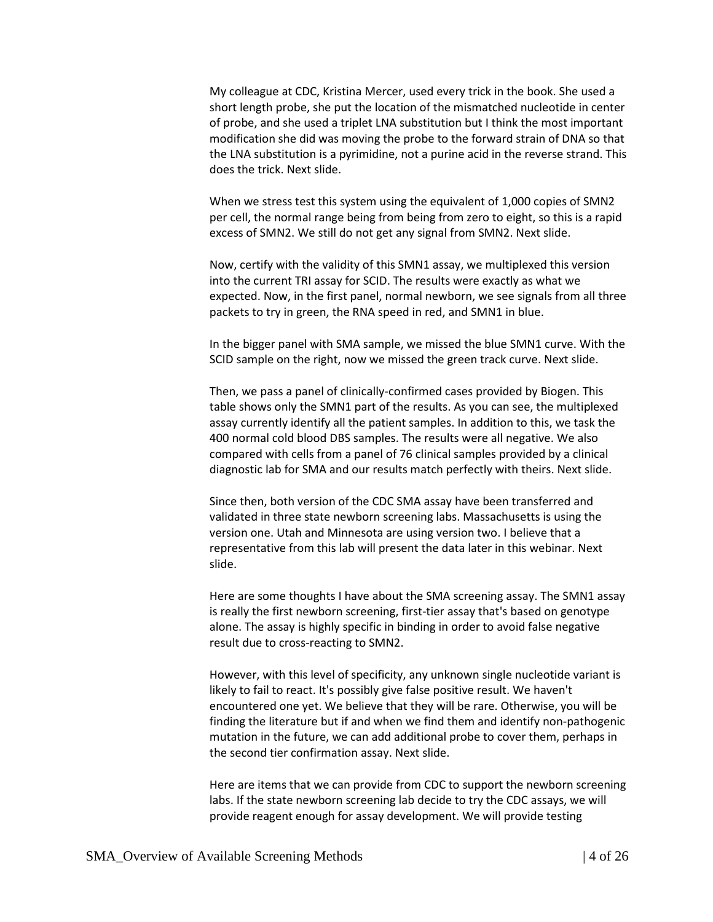My colleague at CDC, Kristina Mercer, used every trick in the book. She used a short length probe, she put the location of the mismatched nucleotide in center of probe, and she used a triplet LNA substitution but I think the most important modification she did was moving the probe to the forward strain of DNA so that the LNA substitution is a pyrimidine, not a purine acid in the reverse strand. This does the trick. Next slide.

When we stress test this system using the equivalent of 1,000 copies of SMN2 per cell, the normal range being from being from zero to eight, so this is a rapid excess of SMN2. We still do not get any signal from SMN2. Next slide.

Now, certify with the validity of this SMN1 assay, we multiplexed this version into the current TRI assay for SCID. The results were exactly as what we expected. Now, in the first panel, normal newborn, we see signals from all three packets to try in green, the RNA speed in red, and SMN1 in blue.

In the bigger panel with SMA sample, we missed the blue SMN1 curve. With the SCID sample on the right, now we missed the green track curve. Next slide.

Then, we pass a panel of clinically-confirmed cases provided by Biogen. This table shows only the SMN1 part of the results. As you can see, the multiplexed assay currently identify all the patient samples. In addition to this, we task the 400 normal cold blood DBS samples. The results were all negative. We also compared with cells from a panel of 76 clinical samples provided by a clinical diagnostic lab for SMA and our results match perfectly with theirs. Next slide.

Since then, both version of the CDC SMA assay have been transferred and validated in three state newborn screening labs. Massachusetts is using the version one. Utah and Minnesota are using version two. I believe that a representative from this lab will present the data later in this webinar. Next slide.

Here are some thoughts I have about the SMA screening assay. The SMN1 assay is really the first newborn screening, first-tier assay that's based on genotype alone. The assay is highly specific in binding in order to avoid false negative result due to cross-reacting to SMN2.

However, with this level of specificity, any unknown single nucleotide variant is likely to fail to react. It's possibly give false positive result. We haven't encountered one yet. We believe that they will be rare. Otherwise, you will be finding the literature but if and when we find them and identify non-pathogenic mutation in the future, we can add additional probe to cover them, perhaps in the second tier confirmation assay. Next slide.

Here are items that we can provide from CDC to support the newborn screening labs. If the state newborn screening lab decide to try the CDC assays, we will provide reagent enough for assay development. We will provide testing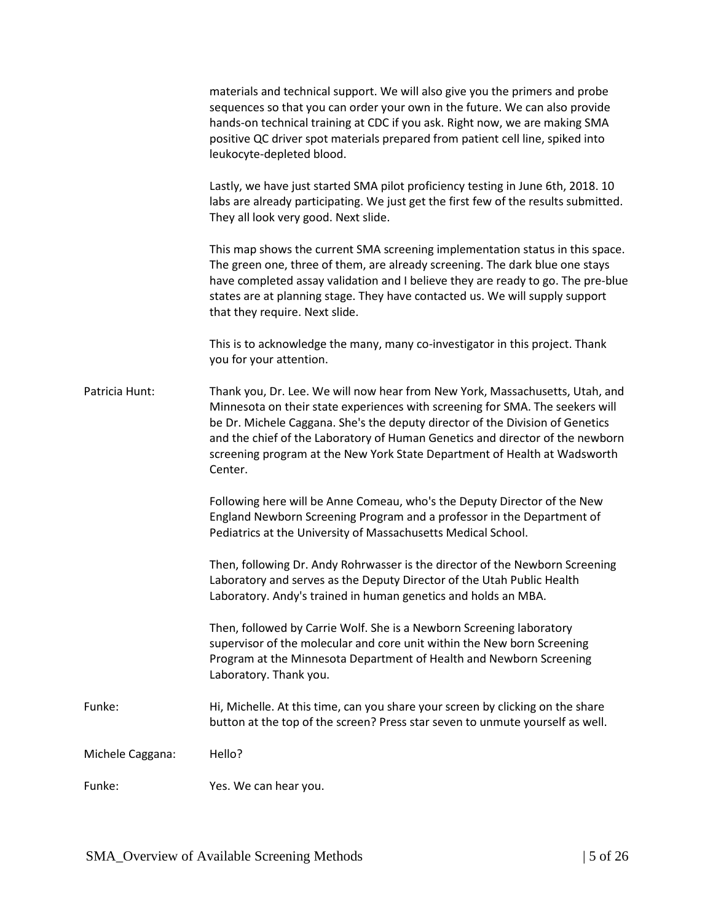|                  | materials and technical support. We will also give you the primers and probe<br>sequences so that you can order your own in the future. We can also provide<br>hands-on technical training at CDC if you ask. Right now, we are making SMA<br>positive QC driver spot materials prepared from patient cell line, spiked into<br>leukocyte-depleted blood.                                                               |
|------------------|-------------------------------------------------------------------------------------------------------------------------------------------------------------------------------------------------------------------------------------------------------------------------------------------------------------------------------------------------------------------------------------------------------------------------|
|                  | Lastly, we have just started SMA pilot proficiency testing in June 6th, 2018. 10<br>labs are already participating. We just get the first few of the results submitted.<br>They all look very good. Next slide.                                                                                                                                                                                                         |
|                  | This map shows the current SMA screening implementation status in this space.<br>The green one, three of them, are already screening. The dark blue one stays<br>have completed assay validation and I believe they are ready to go. The pre-blue<br>states are at planning stage. They have contacted us. We will supply support<br>that they require. Next slide.                                                     |
|                  | This is to acknowledge the many, many co-investigator in this project. Thank<br>you for your attention.                                                                                                                                                                                                                                                                                                                 |
| Patricia Hunt:   | Thank you, Dr. Lee. We will now hear from New York, Massachusetts, Utah, and<br>Minnesota on their state experiences with screening for SMA. The seekers will<br>be Dr. Michele Caggana. She's the deputy director of the Division of Genetics<br>and the chief of the Laboratory of Human Genetics and director of the newborn<br>screening program at the New York State Department of Health at Wadsworth<br>Center. |
|                  | Following here will be Anne Comeau, who's the Deputy Director of the New<br>England Newborn Screening Program and a professor in the Department of<br>Pediatrics at the University of Massachusetts Medical School.                                                                                                                                                                                                     |
|                  | Then, following Dr. Andy Rohrwasser is the director of the Newborn Screening<br>Laboratory and serves as the Deputy Director of the Utah Public Health<br>Laboratory. Andy's trained in human genetics and holds an MBA.                                                                                                                                                                                                |
|                  | Then, followed by Carrie Wolf. She is a Newborn Screening laboratory<br>supervisor of the molecular and core unit within the New born Screening<br>Program at the Minnesota Department of Health and Newborn Screening<br>Laboratory. Thank you.                                                                                                                                                                        |
| Funke:           | Hi, Michelle. At this time, can you share your screen by clicking on the share<br>button at the top of the screen? Press star seven to unmute yourself as well.                                                                                                                                                                                                                                                         |
| Michele Caggana: | Hello?                                                                                                                                                                                                                                                                                                                                                                                                                  |
| Funke:           | Yes. We can hear you.                                                                                                                                                                                                                                                                                                                                                                                                   |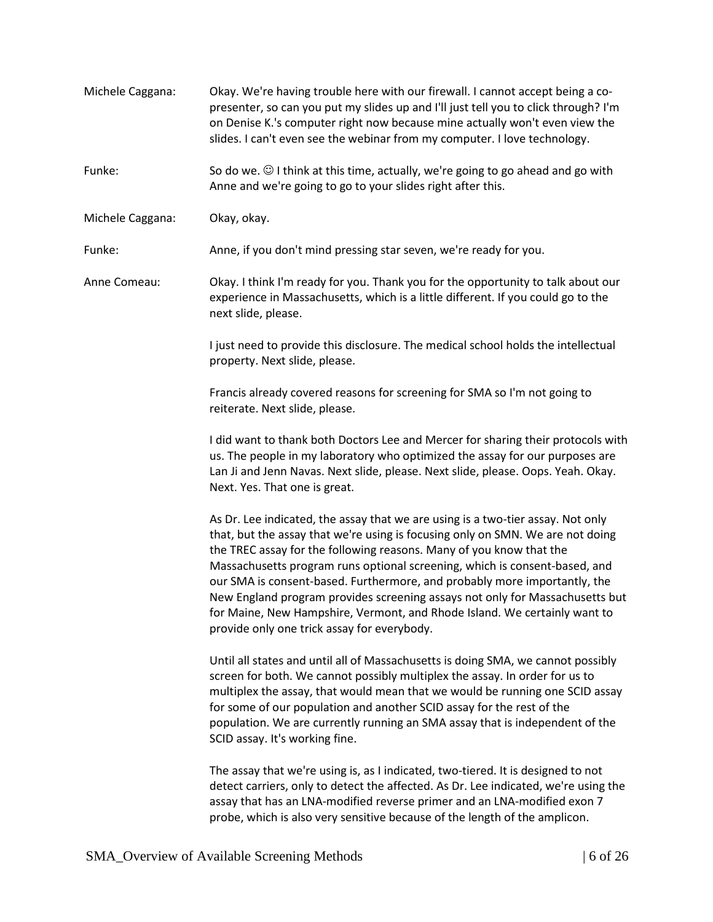| Michele Caggana: | Okay. We're having trouble here with our firewall. I cannot accept being a co-<br>presenter, so can you put my slides up and I'll just tell you to click through? I'm<br>on Denise K.'s computer right now because mine actually won't even view the<br>slides. I can't even see the webinar from my computer. I love technology.                                                                                                                                                                                                                                                                               |
|------------------|-----------------------------------------------------------------------------------------------------------------------------------------------------------------------------------------------------------------------------------------------------------------------------------------------------------------------------------------------------------------------------------------------------------------------------------------------------------------------------------------------------------------------------------------------------------------------------------------------------------------|
| Funke:           | So do we. $\odot$ I think at this time, actually, we're going to go ahead and go with<br>Anne and we're going to go to your slides right after this.                                                                                                                                                                                                                                                                                                                                                                                                                                                            |
| Michele Caggana: | Okay, okay.                                                                                                                                                                                                                                                                                                                                                                                                                                                                                                                                                                                                     |
| Funke:           | Anne, if you don't mind pressing star seven, we're ready for you.                                                                                                                                                                                                                                                                                                                                                                                                                                                                                                                                               |
| Anne Comeau:     | Okay. I think I'm ready for you. Thank you for the opportunity to talk about our<br>experience in Massachusetts, which is a little different. If you could go to the<br>next slide, please.                                                                                                                                                                                                                                                                                                                                                                                                                     |
|                  | I just need to provide this disclosure. The medical school holds the intellectual<br>property. Next slide, please.                                                                                                                                                                                                                                                                                                                                                                                                                                                                                              |
|                  | Francis already covered reasons for screening for SMA so I'm not going to<br>reiterate. Next slide, please.                                                                                                                                                                                                                                                                                                                                                                                                                                                                                                     |
|                  | I did want to thank both Doctors Lee and Mercer for sharing their protocols with<br>us. The people in my laboratory who optimized the assay for our purposes are<br>Lan Ji and Jenn Navas. Next slide, please. Next slide, please. Oops. Yeah. Okay.<br>Next. Yes. That one is great.                                                                                                                                                                                                                                                                                                                           |
|                  | As Dr. Lee indicated, the assay that we are using is a two-tier assay. Not only<br>that, but the assay that we're using is focusing only on SMN. We are not doing<br>the TREC assay for the following reasons. Many of you know that the<br>Massachusetts program runs optional screening, which is consent-based, and<br>our SMA is consent-based. Furthermore, and probably more importantly, the<br>New England program provides screening assays not only for Massachusetts but<br>for Maine, New Hampshire, Vermont, and Rhode Island. We certainly want to<br>provide only one trick assay for everybody. |
|                  | Until all states and until all of Massachusetts is doing SMA, we cannot possibly<br>screen for both. We cannot possibly multiplex the assay. In order for us to<br>multiplex the assay, that would mean that we would be running one SCID assay<br>for some of our population and another SCID assay for the rest of the<br>population. We are currently running an SMA assay that is independent of the<br>SCID assay. It's working fine.                                                                                                                                                                      |
|                  | The assay that we're using is, as I indicated, two-tiered. It is designed to not<br>detect carriers, only to detect the affected. As Dr. Lee indicated, we're using the<br>assay that has an LNA-modified reverse primer and an LNA-modified exon 7<br>probe, which is also very sensitive because of the length of the amplicon.                                                                                                                                                                                                                                                                               |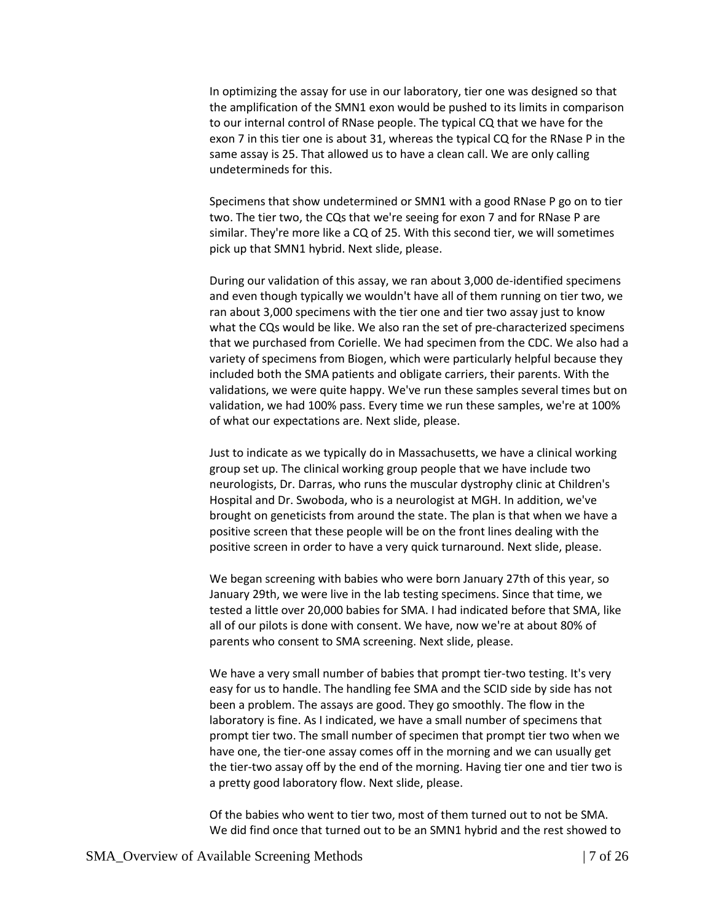In optimizing the assay for use in our laboratory, tier one was designed so that the amplification of the SMN1 exon would be pushed to its limits in comparison to our internal control of RNase people. The typical CQ that we have for the exon 7 in this tier one is about 31, whereas the typical CQ for the RNase P in the same assay is 25. That allowed us to have a clean call. We are only calling undetermineds for this.

Specimens that show undetermined or SMN1 with a good RNase P go on to tier two. The tier two, the CQs that we're seeing for exon 7 and for RNase P are similar. They're more like a CQ of 25. With this second tier, we will sometimes pick up that SMN1 hybrid. Next slide, please.

During our validation of this assay, we ran about 3,000 de-identified specimens and even though typically we wouldn't have all of them running on tier two, we ran about 3,000 specimens with the tier one and tier two assay just to know what the CQs would be like. We also ran the set of pre-characterized specimens that we purchased from Corielle. We had specimen from the CDC. We also had a variety of specimens from Biogen, which were particularly helpful because they included both the SMA patients and obligate carriers, their parents. With the validations, we were quite happy. We've run these samples several times but on validation, we had 100% pass. Every time we run these samples, we're at 100% of what our expectations are. Next slide, please.

Just to indicate as we typically do in Massachusetts, we have a clinical working group set up. The clinical working group people that we have include two neurologists, Dr. Darras, who runs the muscular dystrophy clinic at Children's Hospital and Dr. Swoboda, who is a neurologist at MGH. In addition, we've brought on geneticists from around the state. The plan is that when we have a positive screen that these people will be on the front lines dealing with the positive screen in order to have a very quick turnaround. Next slide, please.

We began screening with babies who were born January 27th of this year, so January 29th, we were live in the lab testing specimens. Since that time, we tested a little over 20,000 babies for SMA. I had indicated before that SMA, like all of our pilots is done with consent. We have, now we're at about 80% of parents who consent to SMA screening. Next slide, please.

We have a very small number of babies that prompt tier-two testing. It's very easy for us to handle. The handling fee SMA and the SCID side by side has not been a problem. The assays are good. They go smoothly. The flow in the laboratory is fine. As I indicated, we have a small number of specimens that prompt tier two. The small number of specimen that prompt tier two when we have one, the tier-one assay comes off in the morning and we can usually get the tier-two assay off by the end of the morning. Having tier one and tier two is a pretty good laboratory flow. Next slide, please.

Of the babies who went to tier two, most of them turned out to not be SMA. We did find once that turned out to be an SMN1 hybrid and the rest showed to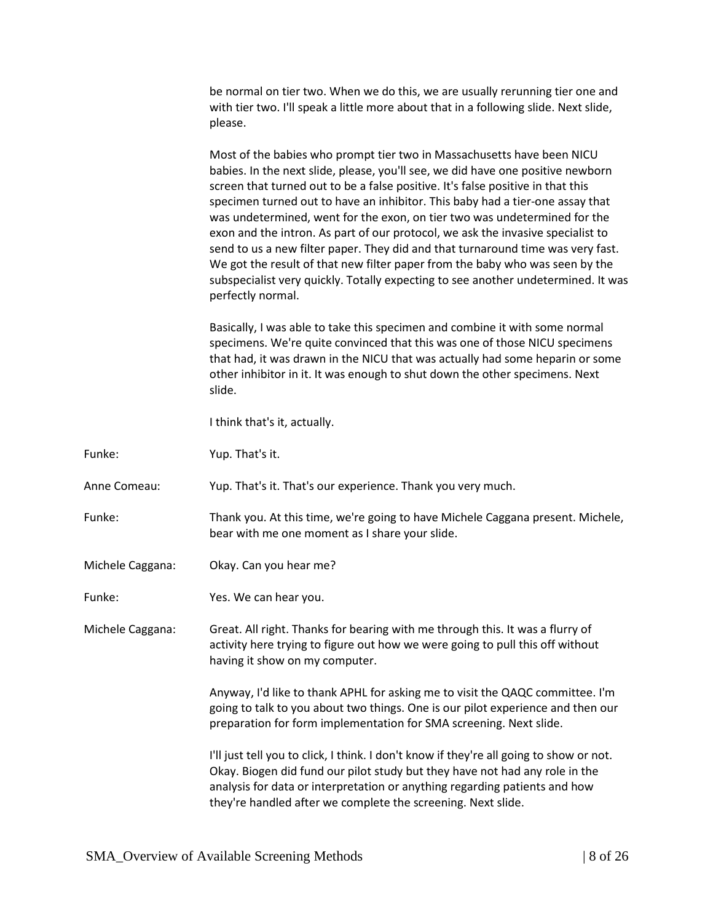be normal on tier two. When we do this, we are usually rerunning tier one and with tier two. I'll speak a little more about that in a following slide. Next slide, please.

Most of the babies who prompt tier two in Massachusetts have been NICU babies. In the next slide, please, you'll see, we did have one positive newborn screen that turned out to be a false positive. It's false positive in that this specimen turned out to have an inhibitor. This baby had a tier-one assay that was undetermined, went for the exon, on tier two was undetermined for the exon and the intron. As part of our protocol, we ask the invasive specialist to send to us a new filter paper. They did and that turnaround time was very fast. We got the result of that new filter paper from the baby who was seen by the subspecialist very quickly. Totally expecting to see another undetermined. It was perfectly normal.

Basically, I was able to take this specimen and combine it with some normal specimens. We're quite convinced that this was one of those NICU specimens that had, it was drawn in the NICU that was actually had some heparin or some other inhibitor in it. It was enough to shut down the other specimens. Next slide.

I think that's it, actually.

Funke: Yup. That's it.

Anne Comeau: Yup. That's it. That's our experience. Thank you very much.

- Funke: Thank you. At this time, we're going to have Michele Caggana present. Michele, bear with me one moment as I share your slide.
- Michele Caggana: Okay. Can you hear me?
- Funke: Yes. We can hear you.

Michele Caggana: Great. All right. Thanks for bearing with me through this. It was a flurry of activity here trying to figure out how we were going to pull this off without having it show on my computer.

> Anyway, I'd like to thank APHL for asking me to visit the QAQC committee. I'm going to talk to you about two things. One is our pilot experience and then our preparation for form implementation for SMA screening. Next slide.

I'll just tell you to click, I think. I don't know if they're all going to show or not. Okay. Biogen did fund our pilot study but they have not had any role in the analysis for data or interpretation or anything regarding patients and how they're handled after we complete the screening. Next slide.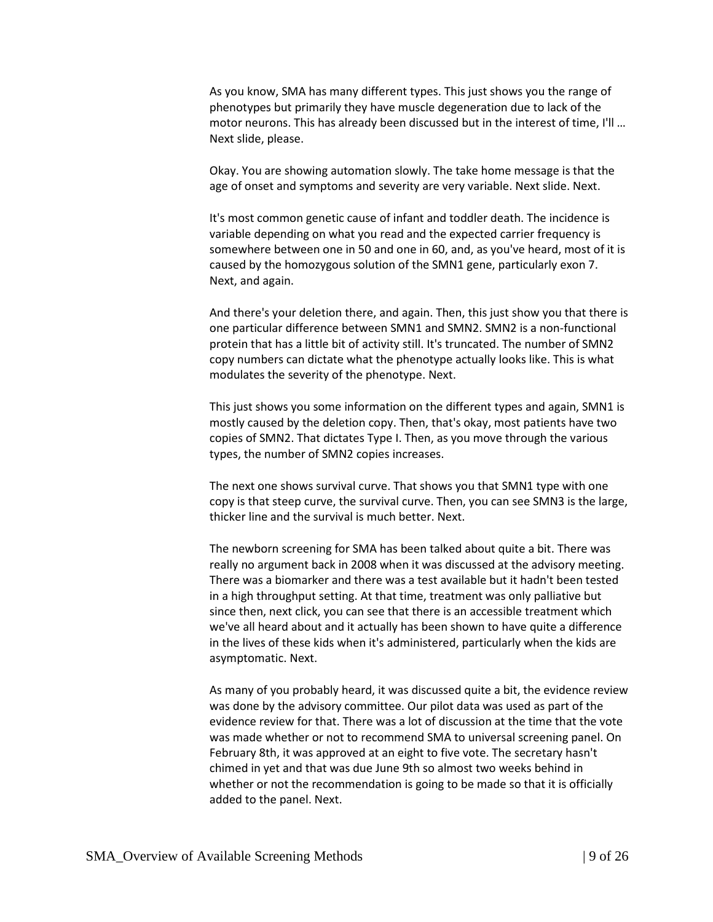As you know, SMA has many different types. This just shows you the range of phenotypes but primarily they have muscle degeneration due to lack of the motor neurons. This has already been discussed but in the interest of time, I'll … Next slide, please.

Okay. You are showing automation slowly. The take home message is that the age of onset and symptoms and severity are very variable. Next slide. Next.

It's most common genetic cause of infant and toddler death. The incidence is variable depending on what you read and the expected carrier frequency is somewhere between one in 50 and one in 60, and, as you've heard, most of it is caused by the homozygous solution of the SMN1 gene, particularly exon 7. Next, and again.

And there's your deletion there, and again. Then, this just show you that there is one particular difference between SMN1 and SMN2. SMN2 is a non-functional protein that has a little bit of activity still. It's truncated. The number of SMN2 copy numbers can dictate what the phenotype actually looks like. This is what modulates the severity of the phenotype. Next.

This just shows you some information on the different types and again, SMN1 is mostly caused by the deletion copy. Then, that's okay, most patients have two copies of SMN2. That dictates Type I. Then, as you move through the various types, the number of SMN2 copies increases.

The next one shows survival curve. That shows you that SMN1 type with one copy is that steep curve, the survival curve. Then, you can see SMN3 is the large, thicker line and the survival is much better. Next.

The newborn screening for SMA has been talked about quite a bit. There was really no argument back in 2008 when it was discussed at the advisory meeting. There was a biomarker and there was a test available but it hadn't been tested in a high throughput setting. At that time, treatment was only palliative but since then, next click, you can see that there is an accessible treatment which we've all heard about and it actually has been shown to have quite a difference in the lives of these kids when it's administered, particularly when the kids are asymptomatic. Next.

As many of you probably heard, it was discussed quite a bit, the evidence review was done by the advisory committee. Our pilot data was used as part of the evidence review for that. There was a lot of discussion at the time that the vote was made whether or not to recommend SMA to universal screening panel. On February 8th, it was approved at an eight to five vote. The secretary hasn't chimed in yet and that was due June 9th so almost two weeks behind in whether or not the recommendation is going to be made so that it is officially added to the panel. Next.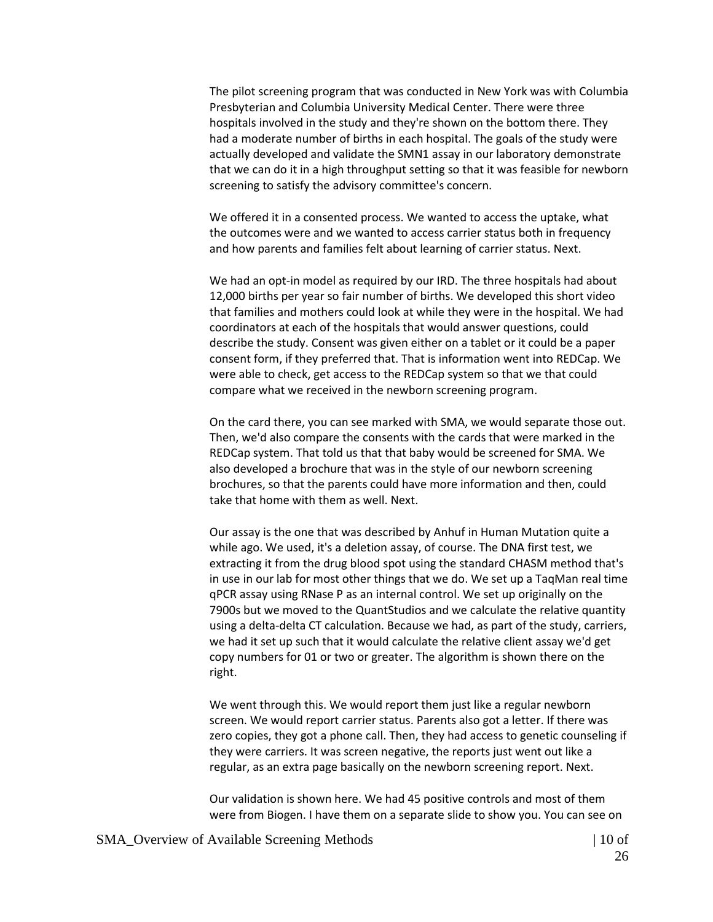The pilot screening program that was conducted in New York was with Columbia Presbyterian and Columbia University Medical Center. There were three hospitals involved in the study and they're shown on the bottom there. They had a moderate number of births in each hospital. The goals of the study were actually developed and validate the SMN1 assay in our laboratory demonstrate that we can do it in a high throughput setting so that it was feasible for newborn screening to satisfy the advisory committee's concern.

We offered it in a consented process. We wanted to access the uptake, what the outcomes were and we wanted to access carrier status both in frequency and how parents and families felt about learning of carrier status. Next.

We had an opt-in model as required by our IRD. The three hospitals had about 12,000 births per year so fair number of births. We developed this short video that families and mothers could look at while they were in the hospital. We had coordinators at each of the hospitals that would answer questions, could describe the study. Consent was given either on a tablet or it could be a paper consent form, if they preferred that. That is information went into REDCap. We were able to check, get access to the REDCap system so that we that could compare what we received in the newborn screening program.

On the card there, you can see marked with SMA, we would separate those out. Then, we'd also compare the consents with the cards that were marked in the REDCap system. That told us that that baby would be screened for SMA. We also developed a brochure that was in the style of our newborn screening brochures, so that the parents could have more information and then, could take that home with them as well. Next.

Our assay is the one that was described by Anhuf in Human Mutation quite a while ago. We used, it's a deletion assay, of course. The DNA first test, we extracting it from the drug blood spot using the standard CHASM method that's in use in our lab for most other things that we do. We set up a TaqMan real time qPCR assay using RNase P as an internal control. We set up originally on the 7900s but we moved to the QuantStudios and we calculate the relative quantity using a delta-delta CT calculation. Because we had, as part of the study, carriers, we had it set up such that it would calculate the relative client assay we'd get copy numbers for 01 or two or greater. The algorithm is shown there on the right.

We went through this. We would report them just like a regular newborn screen. We would report carrier status. Parents also got a letter. If there was zero copies, they got a phone call. Then, they had access to genetic counseling if they were carriers. It was screen negative, the reports just went out like a regular, as an extra page basically on the newborn screening report. Next.

Our validation is shown here. We had 45 positive controls and most of them were from Biogen. I have them on a separate slide to show you. You can see on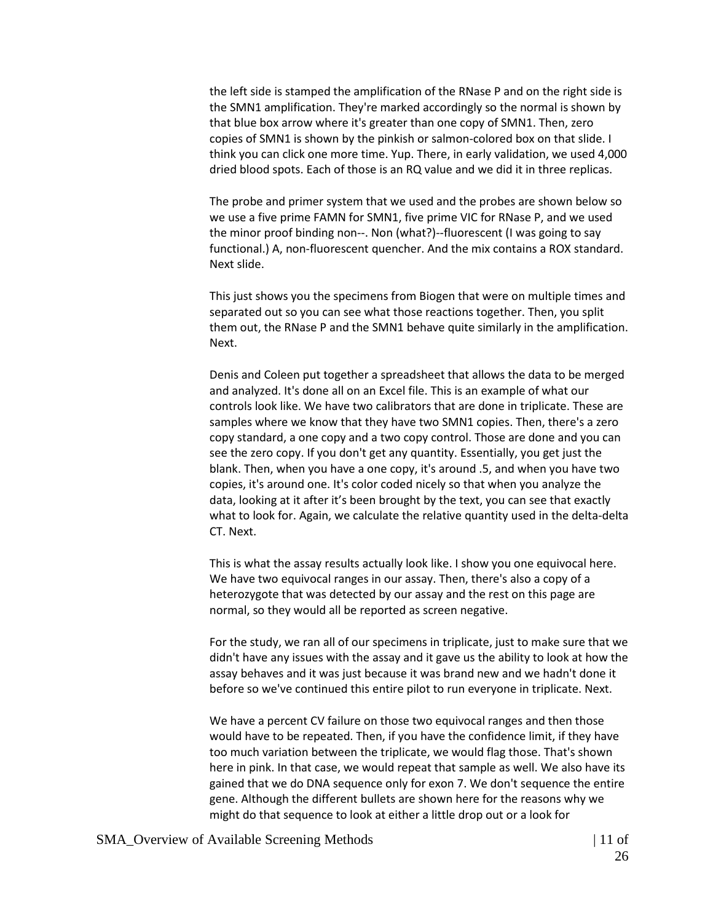the left side is stamped the amplification of the RNase P and on the right side is the SMN1 amplification. They're marked accordingly so the normal is shown by that blue box arrow where it's greater than one copy of SMN1. Then, zero copies of SMN1 is shown by the pinkish or salmon-colored box on that slide. I think you can click one more time. Yup. There, in early validation, we used 4,000 dried blood spots. Each of those is an RQ value and we did it in three replicas.

The probe and primer system that we used and the probes are shown below so we use a five prime FAMN for SMN1, five prime VIC for RNase P, and we used the minor proof binding non--. Non (what?)--fluorescent (I was going to say functional.) A, non-fluorescent quencher. And the mix contains a ROX standard. Next slide.

This just shows you the specimens from Biogen that were on multiple times and separated out so you can see what those reactions together. Then, you split them out, the RNase P and the SMN1 behave quite similarly in the amplification. Next.

Denis and Coleen put together a spreadsheet that allows the data to be merged and analyzed. It's done all on an Excel file. This is an example of what our controls look like. We have two calibrators that are done in triplicate. These are samples where we know that they have two SMN1 copies. Then, there's a zero copy standard, a one copy and a two copy control. Those are done and you can see the zero copy. If you don't get any quantity. Essentially, you get just the blank. Then, when you have a one copy, it's around .5, and when you have two copies, it's around one. It's color coded nicely so that when you analyze the data, looking at it after it's been brought by the text, you can see that exactly what to look for. Again, we calculate the relative quantity used in the delta-delta CT. Next.

This is what the assay results actually look like. I show you one equivocal here. We have two equivocal ranges in our assay. Then, there's also a copy of a heterozygote that was detected by our assay and the rest on this page are normal, so they would all be reported as screen negative.

For the study, we ran all of our specimens in triplicate, just to make sure that we didn't have any issues with the assay and it gave us the ability to look at how the assay behaves and it was just because it was brand new and we hadn't done it before so we've continued this entire pilot to run everyone in triplicate. Next.

We have a percent CV failure on those two equivocal ranges and then those would have to be repeated. Then, if you have the confidence limit, if they have too much variation between the triplicate, we would flag those. That's shown here in pink. In that case, we would repeat that sample as well. We also have its gained that we do DNA sequence only for exon 7. We don't sequence the entire gene. Although the different bullets are shown here for the reasons why we might do that sequence to look at either a little drop out or a look for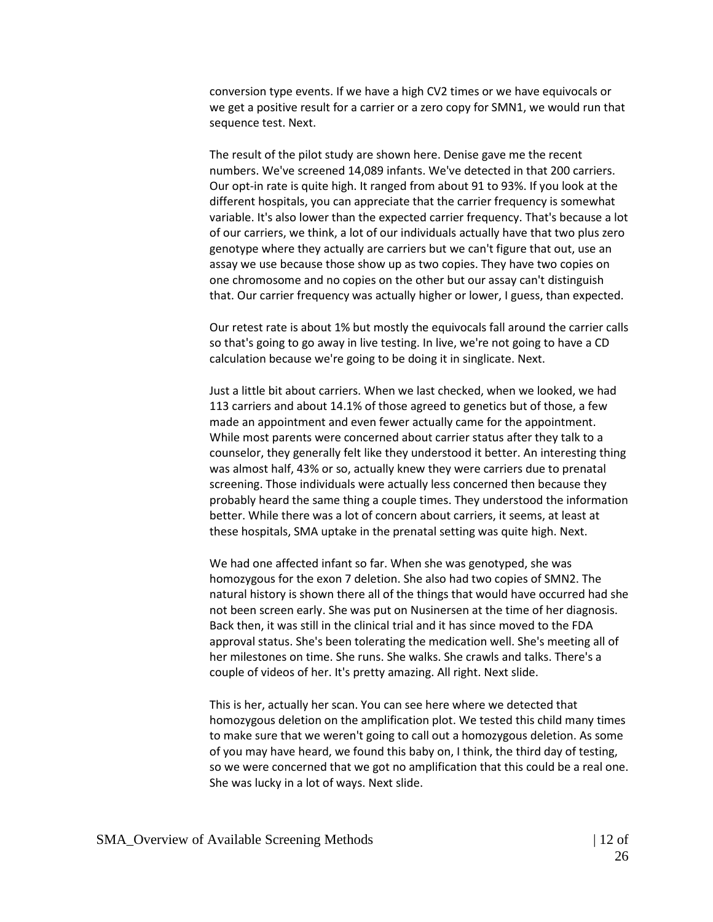conversion type events. If we have a high CV2 times or we have equivocals or we get a positive result for a carrier or a zero copy for SMN1, we would run that sequence test. Next.

The result of the pilot study are shown here. Denise gave me the recent numbers. We've screened 14,089 infants. We've detected in that 200 carriers. Our opt-in rate is quite high. It ranged from about 91 to 93%. If you look at the different hospitals, you can appreciate that the carrier frequency is somewhat variable. It's also lower than the expected carrier frequency. That's because a lot of our carriers, we think, a lot of our individuals actually have that two plus zero genotype where they actually are carriers but we can't figure that out, use an assay we use because those show up as two copies. They have two copies on one chromosome and no copies on the other but our assay can't distinguish that. Our carrier frequency was actually higher or lower, I guess, than expected.

Our retest rate is about 1% but mostly the equivocals fall around the carrier calls so that's going to go away in live testing. In live, we're not going to have a CD calculation because we're going to be doing it in singlicate. Next.

Just a little bit about carriers. When we last checked, when we looked, we had 113 carriers and about 14.1% of those agreed to genetics but of those, a few made an appointment and even fewer actually came for the appointment. While most parents were concerned about carrier status after they talk to a counselor, they generally felt like they understood it better. An interesting thing was almost half, 43% or so, actually knew they were carriers due to prenatal screening. Those individuals were actually less concerned then because they probably heard the same thing a couple times. They understood the information better. While there was a lot of concern about carriers, it seems, at least at these hospitals, SMA uptake in the prenatal setting was quite high. Next.

We had one affected infant so far. When she was genotyped, she was homozygous for the exon 7 deletion. She also had two copies of SMN2. The natural history is shown there all of the things that would have occurred had she not been screen early. She was put on Nusinersen at the time of her diagnosis. Back then, it was still in the clinical trial and it has since moved to the FDA approval status. She's been tolerating the medication well. She's meeting all of her milestones on time. She runs. She walks. She crawls and talks. There's a couple of videos of her. It's pretty amazing. All right. Next slide.

This is her, actually her scan. You can see here where we detected that homozygous deletion on the amplification plot. We tested this child many times to make sure that we weren't going to call out a homozygous deletion. As some of you may have heard, we found this baby on, I think, the third day of testing, so we were concerned that we got no amplification that this could be a real one. She was lucky in a lot of ways. Next slide.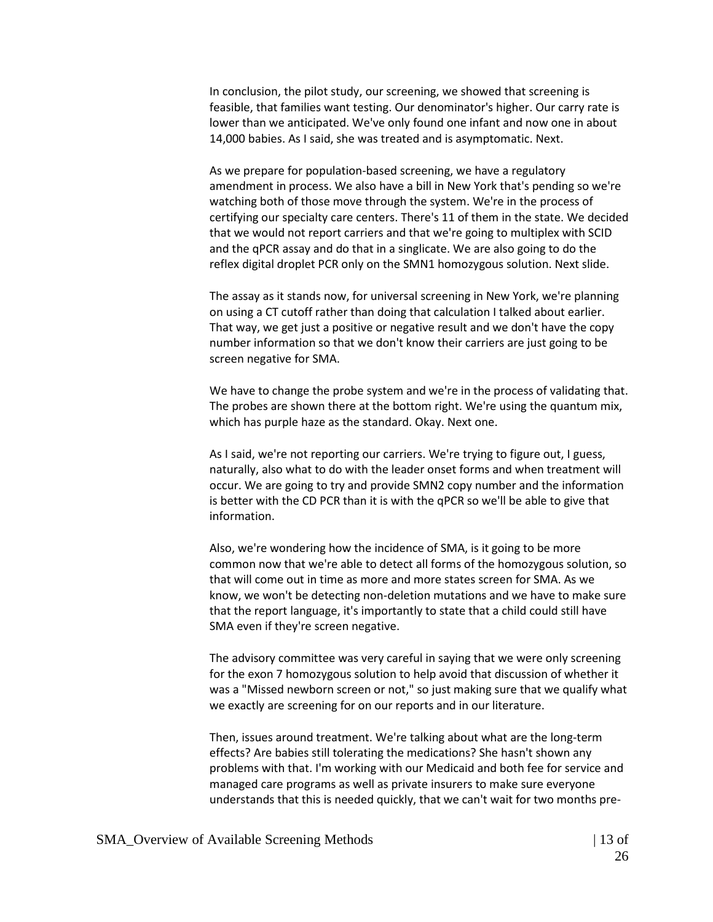In conclusion, the pilot study, our screening, we showed that screening is feasible, that families want testing. Our denominator's higher. Our carry rate is lower than we anticipated. We've only found one infant and now one in about 14,000 babies. As I said, she was treated and is asymptomatic. Next.

As we prepare for population-based screening, we have a regulatory amendment in process. We also have a bill in New York that's pending so we're watching both of those move through the system. We're in the process of certifying our specialty care centers. There's 11 of them in the state. We decided that we would not report carriers and that we're going to multiplex with SCID and the qPCR assay and do that in a singlicate. We are also going to do the reflex digital droplet PCR only on the SMN1 homozygous solution. Next slide.

The assay as it stands now, for universal screening in New York, we're planning on using a CT cutoff rather than doing that calculation I talked about earlier. That way, we get just a positive or negative result and we don't have the copy number information so that we don't know their carriers are just going to be screen negative for SMA.

We have to change the probe system and we're in the process of validating that. The probes are shown there at the bottom right. We're using the quantum mix, which has purple haze as the standard. Okay. Next one.

As I said, we're not reporting our carriers. We're trying to figure out, I guess, naturally, also what to do with the leader onset forms and when treatment will occur. We are going to try and provide SMN2 copy number and the information is better with the CD PCR than it is with the qPCR so we'll be able to give that information.

Also, we're wondering how the incidence of SMA, is it going to be more common now that we're able to detect all forms of the homozygous solution, so that will come out in time as more and more states screen for SMA. As we know, we won't be detecting non-deletion mutations and we have to make sure that the report language, it's importantly to state that a child could still have SMA even if they're screen negative.

The advisory committee was very careful in saying that we were only screening for the exon 7 homozygous solution to help avoid that discussion of whether it was a "Missed newborn screen or not," so just making sure that we qualify what we exactly are screening for on our reports and in our literature.

Then, issues around treatment. We're talking about what are the long-term effects? Are babies still tolerating the medications? She hasn't shown any problems with that. I'm working with our Medicaid and both fee for service and managed care programs as well as private insurers to make sure everyone understands that this is needed quickly, that we can't wait for two months pre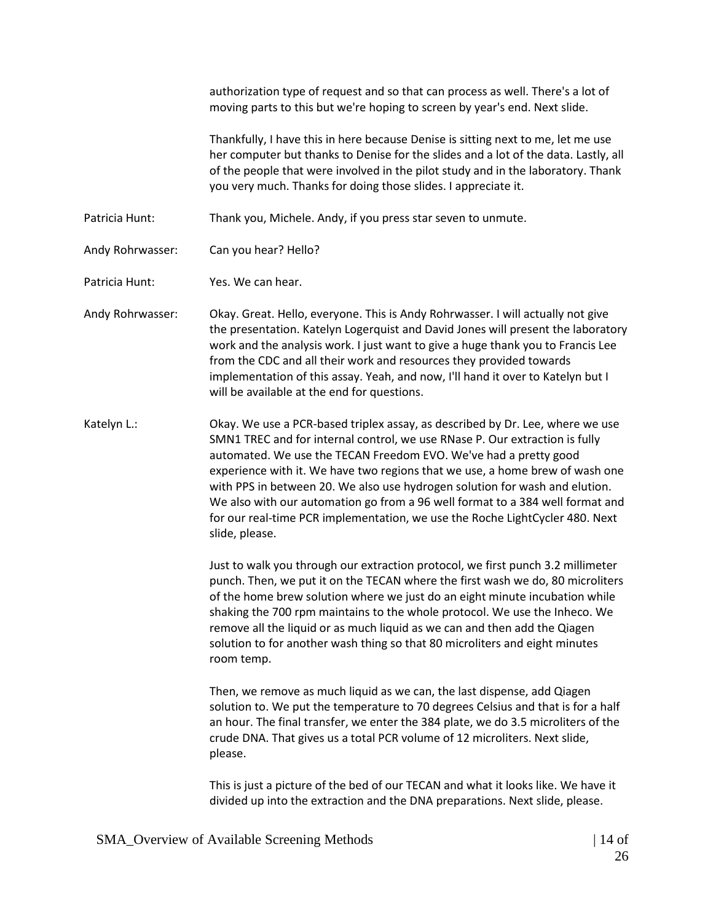authorization type of request and so that can process as well. There's a lot of moving parts to this but we're hoping to screen by year's end. Next slide.

Thankfully, I have this in here because Denise is sitting next to me, let me use her computer but thanks to Denise for the slides and a lot of the data. Lastly, all of the people that were involved in the pilot study and in the laboratory. Thank you very much. Thanks for doing those slides. I appreciate it.

- Patricia Hunt: Thank you, Michele. Andy, if you press star seven to unmute.
- Andy Rohrwasser: Can you hear? Hello?
- Patricia Hunt: Yes. We can hear.
- Andy Rohrwasser: Okay. Great. Hello, everyone. This is Andy Rohrwasser. I will actually not give the presentation. Katelyn Logerquist and David Jones will present the laboratory work and the analysis work. I just want to give a huge thank you to Francis Lee from the CDC and all their work and resources they provided towards implementation of this assay. Yeah, and now, I'll hand it over to Katelyn but I will be available at the end for questions.
- Katelyn L.: Chay. We use a PCR-based triplex assay, as described by Dr. Lee, where we use SMN1 TREC and for internal control, we use RNase P. Our extraction is fully automated. We use the TECAN Freedom EVO. We've had a pretty good experience with it. We have two regions that we use, a home brew of wash one with PPS in between 20. We also use hydrogen solution for wash and elution. We also with our automation go from a 96 well format to a 384 well format and for our real-time PCR implementation, we use the Roche LightCycler 480. Next slide, please.

Just to walk you through our extraction protocol, we first punch 3.2 millimeter punch. Then, we put it on the TECAN where the first wash we do, 80 microliters of the home brew solution where we just do an eight minute incubation while shaking the 700 rpm maintains to the whole protocol. We use the Inheco. We remove all the liquid or as much liquid as we can and then add the Qiagen solution to for another wash thing so that 80 microliters and eight minutes room temp.

Then, we remove as much liquid as we can, the last dispense, add Qiagen solution to. We put the temperature to 70 degrees Celsius and that is for a half an hour. The final transfer, we enter the 384 plate, we do 3.5 microliters of the crude DNA. That gives us a total PCR volume of 12 microliters. Next slide, please.

This is just a picture of the bed of our TECAN and what it looks like. We have it divided up into the extraction and the DNA preparations. Next slide, please.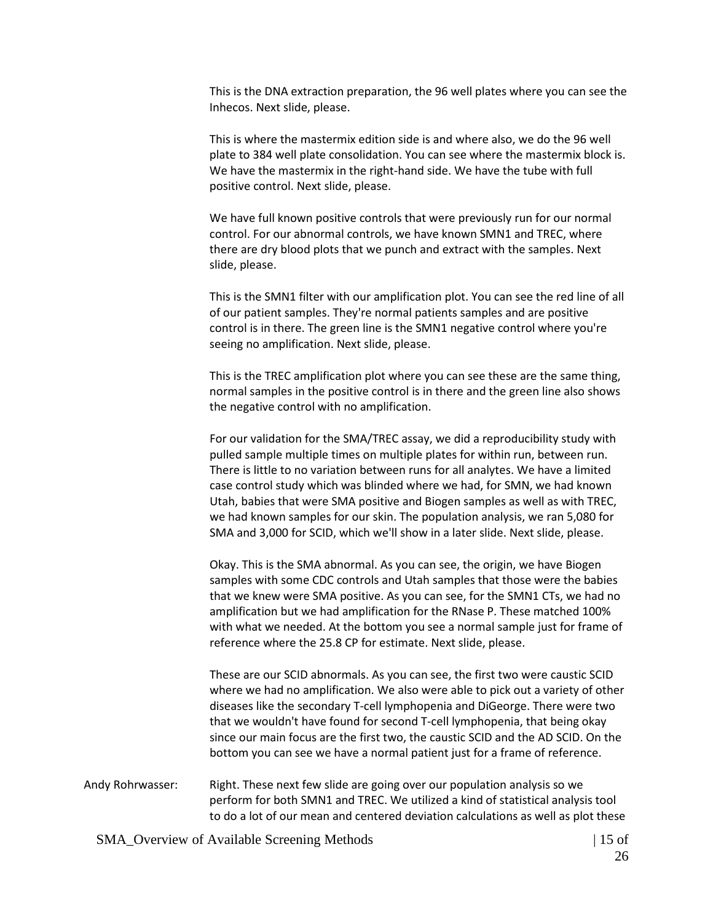This is the DNA extraction preparation, the 96 well plates where you can see the Inhecos. Next slide, please.

This is where the mastermix edition side is and where also, we do the 96 well plate to 384 well plate consolidation. You can see where the mastermix block is. We have the mastermix in the right-hand side. We have the tube with full positive control. Next slide, please.

We have full known positive controls that were previously run for our normal control. For our abnormal controls, we have known SMN1 and TREC, where there are dry blood plots that we punch and extract with the samples. Next slide, please.

This is the SMN1 filter with our amplification plot. You can see the red line of all of our patient samples. They're normal patients samples and are positive control is in there. The green line is the SMN1 negative control where you're seeing no amplification. Next slide, please.

This is the TREC amplification plot where you can see these are the same thing, normal samples in the positive control is in there and the green line also shows the negative control with no amplification.

For our validation for the SMA/TREC assay, we did a reproducibility study with pulled sample multiple times on multiple plates for within run, between run. There is little to no variation between runs for all analytes. We have a limited case control study which was blinded where we had, for SMN, we had known Utah, babies that were SMA positive and Biogen samples as well as with TREC, we had known samples for our skin. The population analysis, we ran 5,080 for SMA and 3,000 for SCID, which we'll show in a later slide. Next slide, please.

Okay. This is the SMA abnormal. As you can see, the origin, we have Biogen samples with some CDC controls and Utah samples that those were the babies that we knew were SMA positive. As you can see, for the SMN1 CTs, we had no amplification but we had amplification for the RNase P. These matched 100% with what we needed. At the bottom you see a normal sample just for frame of reference where the 25.8 CP for estimate. Next slide, please.

These are our SCID abnormals. As you can see, the first two were caustic SCID where we had no amplification. We also were able to pick out a variety of other diseases like the secondary T-cell lymphopenia and DiGeorge. There were two that we wouldn't have found for second T-cell lymphopenia, that being okay since our main focus are the first two, the caustic SCID and the AD SCID. On the bottom you can see we have a normal patient just for a frame of reference.

Andy Rohrwasser: Right. These next few slide are going over our population analysis so we perform for both SMN1 and TREC. We utilized a kind of statistical analysis tool to do a lot of our mean and centered deviation calculations as well as plot these

SMA Overview of Available Screening Methods | 15 of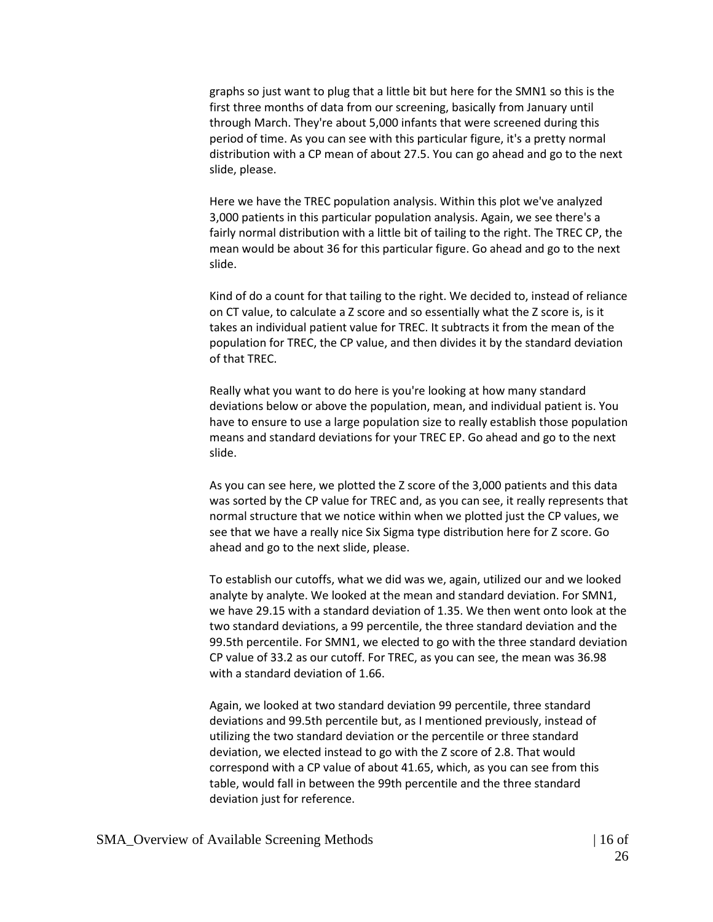graphs so just want to plug that a little bit but here for the SMN1 so this is the first three months of data from our screening, basically from January until through March. They're about 5,000 infants that were screened during this period of time. As you can see with this particular figure, it's a pretty normal distribution with a CP mean of about 27.5. You can go ahead and go to the next slide, please.

Here we have the TREC population analysis. Within this plot we've analyzed 3,000 patients in this particular population analysis. Again, we see there's a fairly normal distribution with a little bit of tailing to the right. The TREC CP, the mean would be about 36 for this particular figure. Go ahead and go to the next slide.

Kind of do a count for that tailing to the right. We decided to, instead of reliance on CT value, to calculate a Z score and so essentially what the Z score is, is it takes an individual patient value for TREC. It subtracts it from the mean of the population for TREC, the CP value, and then divides it by the standard deviation of that TREC.

Really what you want to do here is you're looking at how many standard deviations below or above the population, mean, and individual patient is. You have to ensure to use a large population size to really establish those population means and standard deviations for your TREC EP. Go ahead and go to the next slide.

As you can see here, we plotted the Z score of the 3,000 patients and this data was sorted by the CP value for TREC and, as you can see, it really represents that normal structure that we notice within when we plotted just the CP values, we see that we have a really nice Six Sigma type distribution here for Z score. Go ahead and go to the next slide, please.

To establish our cutoffs, what we did was we, again, utilized our and we looked analyte by analyte. We looked at the mean and standard deviation. For SMN1, we have 29.15 with a standard deviation of 1.35. We then went onto look at the two standard deviations, a 99 percentile, the three standard deviation and the 99.5th percentile. For SMN1, we elected to go with the three standard deviation CP value of 33.2 as our cutoff. For TREC, as you can see, the mean was 36.98 with a standard deviation of 1.66.

Again, we looked at two standard deviation 99 percentile, three standard deviations and 99.5th percentile but, as I mentioned previously, instead of utilizing the two standard deviation or the percentile or three standard deviation, we elected instead to go with the Z score of 2.8. That would correspond with a CP value of about 41.65, which, as you can see from this table, would fall in between the 99th percentile and the three standard deviation just for reference.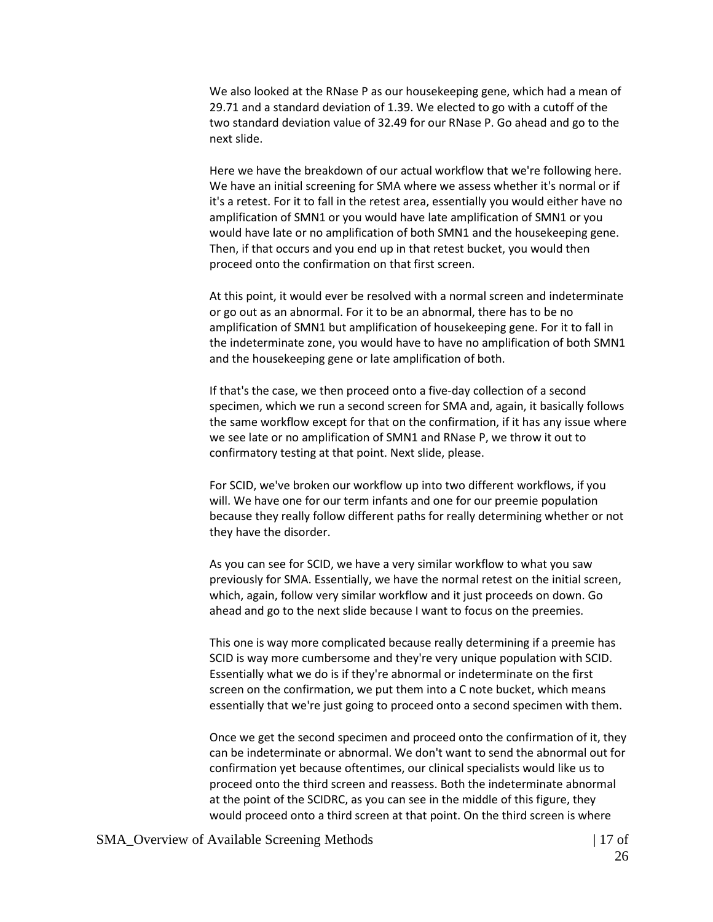We also looked at the RNase P as our housekeeping gene, which had a mean of 29.71 and a standard deviation of 1.39. We elected to go with a cutoff of the two standard deviation value of 32.49 for our RNase P. Go ahead and go to the next slide.

Here we have the breakdown of our actual workflow that we're following here. We have an initial screening for SMA where we assess whether it's normal or if it's a retest. For it to fall in the retest area, essentially you would either have no amplification of SMN1 or you would have late amplification of SMN1 or you would have late or no amplification of both SMN1 and the housekeeping gene. Then, if that occurs and you end up in that retest bucket, you would then proceed onto the confirmation on that first screen.

At this point, it would ever be resolved with a normal screen and indeterminate or go out as an abnormal. For it to be an abnormal, there has to be no amplification of SMN1 but amplification of housekeeping gene. For it to fall in the indeterminate zone, you would have to have no amplification of both SMN1 and the housekeeping gene or late amplification of both.

If that's the case, we then proceed onto a five-day collection of a second specimen, which we run a second screen for SMA and, again, it basically follows the same workflow except for that on the confirmation, if it has any issue where we see late or no amplification of SMN1 and RNase P, we throw it out to confirmatory testing at that point. Next slide, please.

For SCID, we've broken our workflow up into two different workflows, if you will. We have one for our term infants and one for our preemie population because they really follow different paths for really determining whether or not they have the disorder.

As you can see for SCID, we have a very similar workflow to what you saw previously for SMA. Essentially, we have the normal retest on the initial screen, which, again, follow very similar workflow and it just proceeds on down. Go ahead and go to the next slide because I want to focus on the preemies.

This one is way more complicated because really determining if a preemie has SCID is way more cumbersome and they're very unique population with SCID. Essentially what we do is if they're abnormal or indeterminate on the first screen on the confirmation, we put them into a C note bucket, which means essentially that we're just going to proceed onto a second specimen with them.

Once we get the second specimen and proceed onto the confirmation of it, they can be indeterminate or abnormal. We don't want to send the abnormal out for confirmation yet because oftentimes, our clinical specialists would like us to proceed onto the third screen and reassess. Both the indeterminate abnormal at the point of the SCIDRC, as you can see in the middle of this figure, they would proceed onto a third screen at that point. On the third screen is where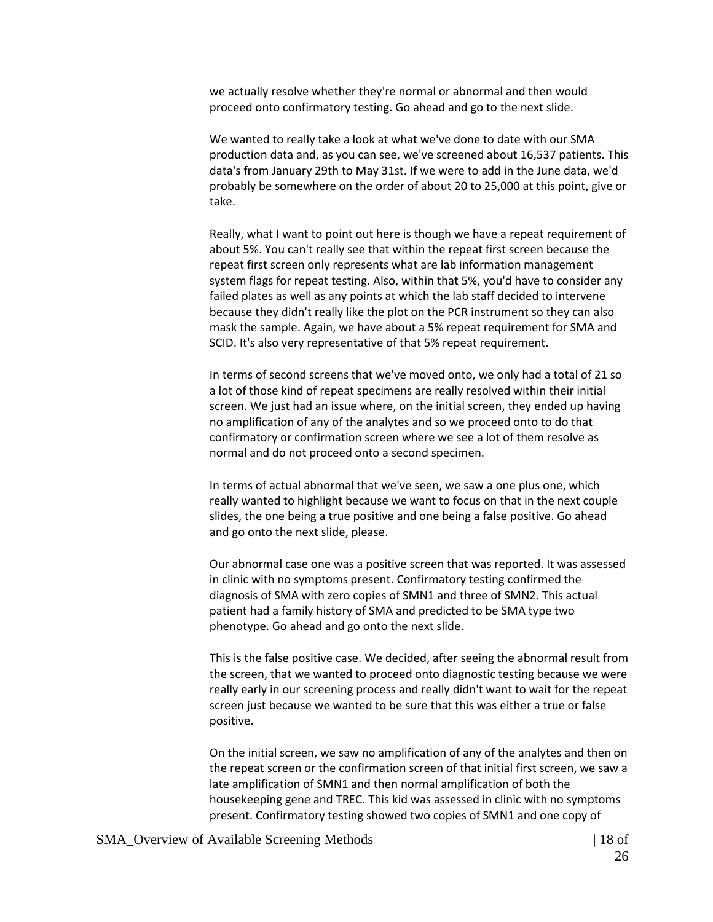we actually resolve whether they're normal or abnormal and then would proceed onto confirmatory testing. Go ahead and go to the next slide.

We wanted to really take a look at what we've done to date with our SMA production data and, as you can see, we've screened about 16,537 patients. This data's from January 29th to May 31st. If we were to add in the June data, we'd probably be somewhere on the order of about 20 to 25,000 at this point, give or take.

Really, what I want to point out here is though we have a repeat requirement of about 5%. You can't really see that within the repeat first screen because the repeat first screen only represents what are lab information management system flags for repeat testing. Also, within that 5%, you'd have to consider any failed plates as well as any points at which the lab staff decided to intervene because they didn't really like the plot on the PCR instrument so they can also mask the sample. Again, we have about a 5% repeat requirement for SMA and SCID. It's also very representative of that 5% repeat requirement.

In terms of second screens that we've moved onto, we only had a total of 21 so a lot of those kind of repeat specimens are really resolved within their initial screen. We just had an issue where, on the initial screen, they ended up having no amplification of any of the analytes and so we proceed onto to do that confirmatory or confirmation screen where we see a lot of them resolve as normal and do not proceed onto a second specimen.

In terms of actual abnormal that we've seen, we saw a one plus one, which really wanted to highlight because we want to focus on that in the next couple slides, the one being a true positive and one being a false positive. Go ahead and go onto the next slide, please.

Our abnormal case one was a positive screen that was reported. It was assessed in clinic with no symptoms present. Confirmatory testing confirmed the diagnosis of SMA with zero copies of SMN1 and three of SMN2. This actual patient had a family history of SMA and predicted to be SMA type two phenotype. Go ahead and go onto the next slide.

This is the false positive case. We decided, after seeing the abnormal result from the screen, that we wanted to proceed onto diagnostic testing because we were really early in our screening process and really didn't want to wait for the repeat screen just because we wanted to be sure that this was either a true or false positive.

On the initial screen, we saw no amplification of any of the analytes and then on the repeat screen or the confirmation screen of that initial first screen, we saw a late amplification of SMN1 and then normal amplification of both the housekeeping gene and TREC. This kid was assessed in clinic with no symptoms present. Confirmatory testing showed two copies of SMN1 and one copy of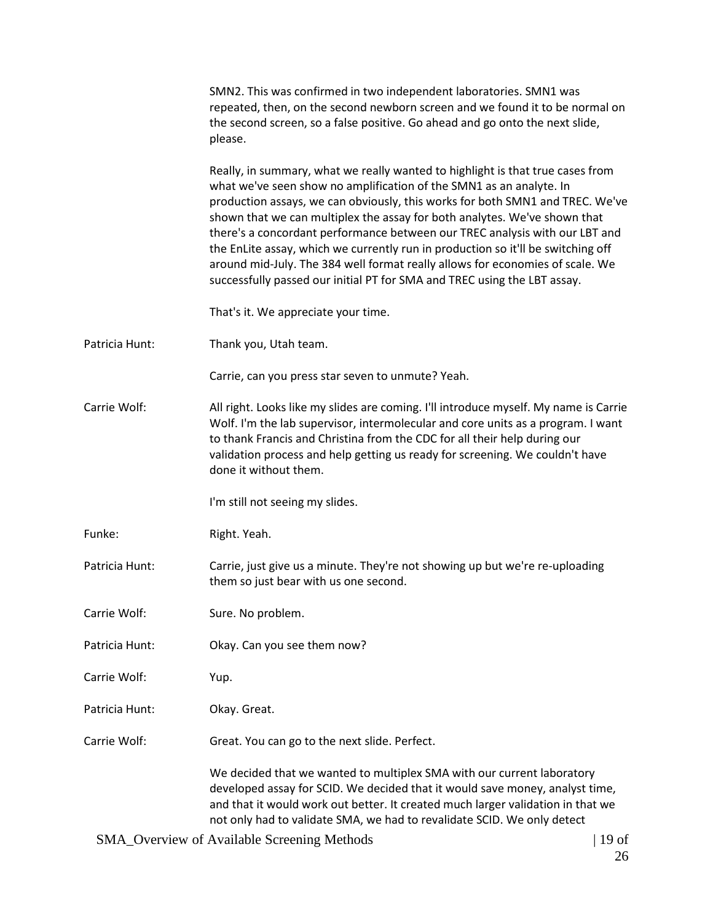|                | SMN2. This was confirmed in two independent laboratories. SMN1 was<br>repeated, then, on the second newborn screen and we found it to be normal on<br>the second screen, so a false positive. Go ahead and go onto the next slide,<br>please.                                                                                                                                                                                                                                                                                                                                                                                                       |         |
|----------------|-----------------------------------------------------------------------------------------------------------------------------------------------------------------------------------------------------------------------------------------------------------------------------------------------------------------------------------------------------------------------------------------------------------------------------------------------------------------------------------------------------------------------------------------------------------------------------------------------------------------------------------------------------|---------|
|                | Really, in summary, what we really wanted to highlight is that true cases from<br>what we've seen show no amplification of the SMN1 as an analyte. In<br>production assays, we can obviously, this works for both SMN1 and TREC. We've<br>shown that we can multiplex the assay for both analytes. We've shown that<br>there's a concordant performance between our TREC analysis with our LBT and<br>the EnLite assay, which we currently run in production so it'll be switching off<br>around mid-July. The 384 well format really allows for economies of scale. We<br>successfully passed our initial PT for SMA and TREC using the LBT assay. |         |
|                | That's it. We appreciate your time.                                                                                                                                                                                                                                                                                                                                                                                                                                                                                                                                                                                                                 |         |
| Patricia Hunt: | Thank you, Utah team.                                                                                                                                                                                                                                                                                                                                                                                                                                                                                                                                                                                                                               |         |
|                | Carrie, can you press star seven to unmute? Yeah.                                                                                                                                                                                                                                                                                                                                                                                                                                                                                                                                                                                                   |         |
| Carrie Wolf:   | All right. Looks like my slides are coming. I'll introduce myself. My name is Carrie<br>Wolf. I'm the lab supervisor, intermolecular and core units as a program. I want<br>to thank Francis and Christina from the CDC for all their help during our<br>validation process and help getting us ready for screening. We couldn't have<br>done it without them.                                                                                                                                                                                                                                                                                      |         |
|                | I'm still not seeing my slides.                                                                                                                                                                                                                                                                                                                                                                                                                                                                                                                                                                                                                     |         |
| Funke:         | Right. Yeah.                                                                                                                                                                                                                                                                                                                                                                                                                                                                                                                                                                                                                                        |         |
| Patricia Hunt: | Carrie, just give us a minute. They're not showing up but we're re-uploading<br>them so just bear with us one second.                                                                                                                                                                                                                                                                                                                                                                                                                                                                                                                               |         |
| Carrie Wolf:   | Sure. No problem.                                                                                                                                                                                                                                                                                                                                                                                                                                                                                                                                                                                                                                   |         |
| Patricia Hunt: | Okay. Can you see them now?                                                                                                                                                                                                                                                                                                                                                                                                                                                                                                                                                                                                                         |         |
| Carrie Wolf:   | Yup.                                                                                                                                                                                                                                                                                                                                                                                                                                                                                                                                                                                                                                                |         |
| Patricia Hunt: | Okay. Great.                                                                                                                                                                                                                                                                                                                                                                                                                                                                                                                                                                                                                                        |         |
| Carrie Wolf:   | Great. You can go to the next slide. Perfect.                                                                                                                                                                                                                                                                                                                                                                                                                                                                                                                                                                                                       |         |
|                | We decided that we wanted to multiplex SMA with our current laboratory<br>developed assay for SCID. We decided that it would save money, analyst time,<br>and that it would work out better. It created much larger validation in that we<br>not only had to validate SMA, we had to revalidate SCID. We only detect                                                                                                                                                                                                                                                                                                                                |         |
|                | <b>SMA_Overview of Available Screening Methods</b>                                                                                                                                                                                                                                                                                                                                                                                                                                                                                                                                                                                                  | $19$ of |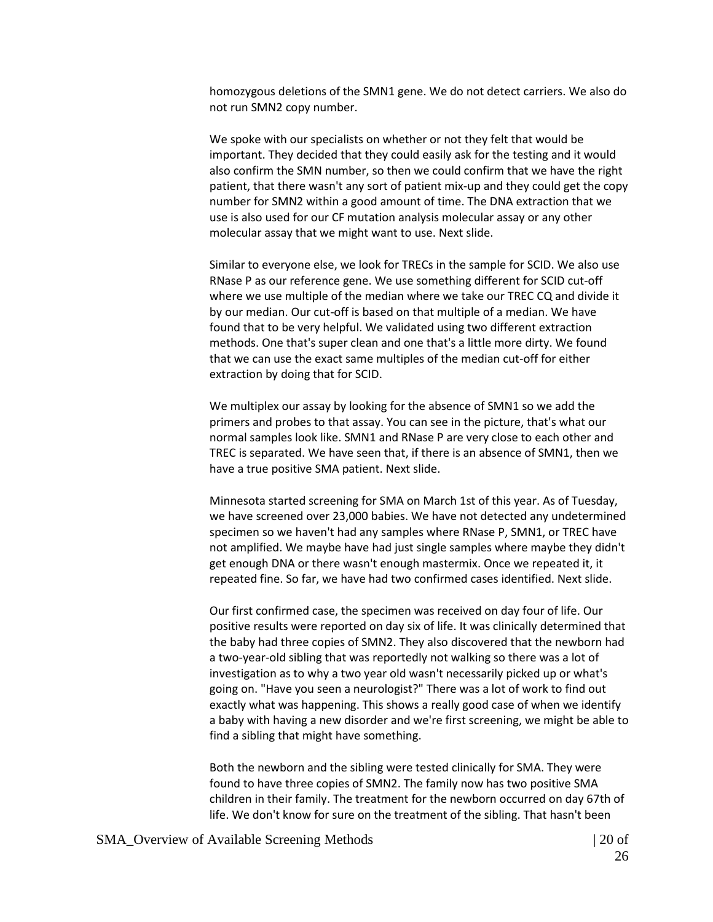homozygous deletions of the SMN1 gene. We do not detect carriers. We also do not run SMN2 copy number.

We spoke with our specialists on whether or not they felt that would be important. They decided that they could easily ask for the testing and it would also confirm the SMN number, so then we could confirm that we have the right patient, that there wasn't any sort of patient mix-up and they could get the copy number for SMN2 within a good amount of time. The DNA extraction that we use is also used for our CF mutation analysis molecular assay or any other molecular assay that we might want to use. Next slide.

Similar to everyone else, we look for TRECs in the sample for SCID. We also use RNase P as our reference gene. We use something different for SCID cut-off where we use multiple of the median where we take our TREC CQ and divide it by our median. Our cut-off is based on that multiple of a median. We have found that to be very helpful. We validated using two different extraction methods. One that's super clean and one that's a little more dirty. We found that we can use the exact same multiples of the median cut-off for either extraction by doing that for SCID.

We multiplex our assay by looking for the absence of SMN1 so we add the primers and probes to that assay. You can see in the picture, that's what our normal samples look like. SMN1 and RNase P are very close to each other and TREC is separated. We have seen that, if there is an absence of SMN1, then we have a true positive SMA patient. Next slide.

Minnesota started screening for SMA on March 1st of this year. As of Tuesday, we have screened over 23,000 babies. We have not detected any undetermined specimen so we haven't had any samples where RNase P, SMN1, or TREC have not amplified. We maybe have had just single samples where maybe they didn't get enough DNA or there wasn't enough mastermix. Once we repeated it, it repeated fine. So far, we have had two confirmed cases identified. Next slide.

Our first confirmed case, the specimen was received on day four of life. Our positive results were reported on day six of life. It was clinically determined that the baby had three copies of SMN2. They also discovered that the newborn had a two-year-old sibling that was reportedly not walking so there was a lot of investigation as to why a two year old wasn't necessarily picked up or what's going on. "Have you seen a neurologist?" There was a lot of work to find out exactly what was happening. This shows a really good case of when we identify a baby with having a new disorder and we're first screening, we might be able to find a sibling that might have something.

Both the newborn and the sibling were tested clinically for SMA. They were found to have three copies of SMN2. The family now has two positive SMA children in their family. The treatment for the newborn occurred on day 67th of life. We don't know for sure on the treatment of the sibling. That hasn't been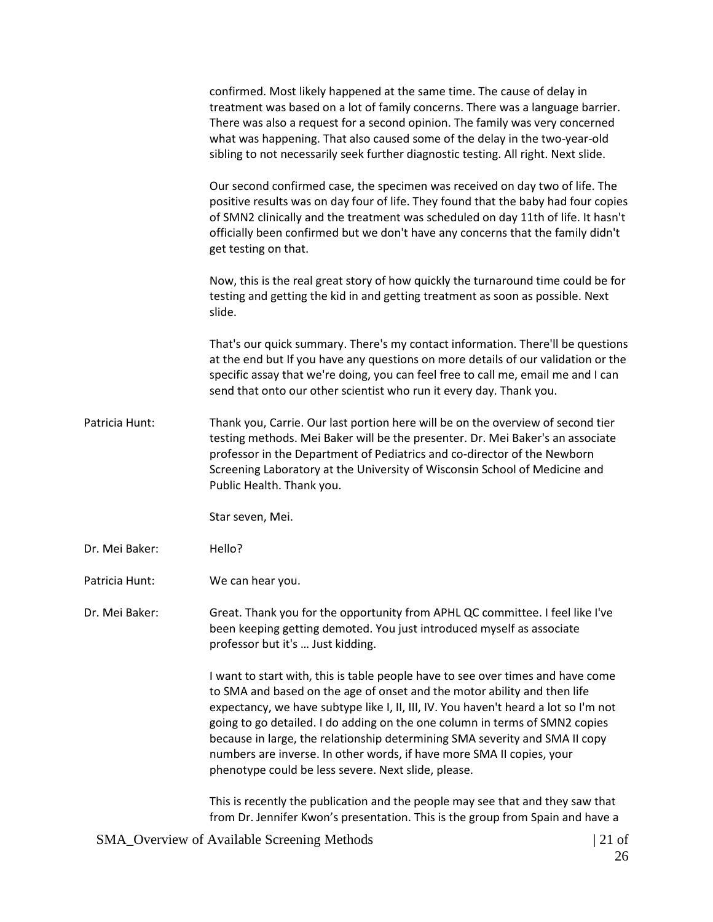confirmed. Most likely happened at the same time. The cause of delay in treatment was based on a lot of family concerns. There was a language barrier. There was also a request for a second opinion. The family was very concerned what was happening. That also caused some of the delay in the two-year-old sibling to not necessarily seek further diagnostic testing. All right. Next slide.

Our second confirmed case, the specimen was received on day two of life. The positive results was on day four of life. They found that the baby had four copies of SMN2 clinically and the treatment was scheduled on day 11th of life. It hasn't officially been confirmed but we don't have any concerns that the family didn't get testing on that.

Now, this is the real great story of how quickly the turnaround time could be for testing and getting the kid in and getting treatment as soon as possible. Next slide.

That's our quick summary. There's my contact information. There'll be questions at the end but If you have any questions on more details of our validation or the specific assay that we're doing, you can feel free to call me, email me and I can send that onto our other scientist who run it every day. Thank you.

Patricia Hunt: Thank you, Carrie. Our last portion here will be on the overview of second tier testing methods. Mei Baker will be the presenter. Dr. Mei Baker's an associate professor in the Department of Pediatrics and co-director of the Newborn Screening Laboratory at the University of Wisconsin School of Medicine and Public Health. Thank you.

Star seven, Mei.

Dr. Mei Baker: Hello?

Patricia Hunt: We can hear you.

Dr. Mei Baker: Great. Thank you for the opportunity from APHL QC committee. I feel like I've been keeping getting demoted. You just introduced myself as associate professor but it's … Just kidding.

> I want to start with, this is table people have to see over times and have come to SMA and based on the age of onset and the motor ability and then life expectancy, we have subtype like I, II, III, IV. You haven't heard a lot so I'm not going to go detailed. I do adding on the one column in terms of SMN2 copies because in large, the relationship determining SMA severity and SMA II copy numbers are inverse. In other words, if have more SMA II copies, your phenotype could be less severe. Next slide, please.

> This is recently the publication and the people may see that and they saw that from Dr. Jennifer Kwon's presentation. This is the group from Spain and have a

SMA Overview of Available Screening Methods | 21 of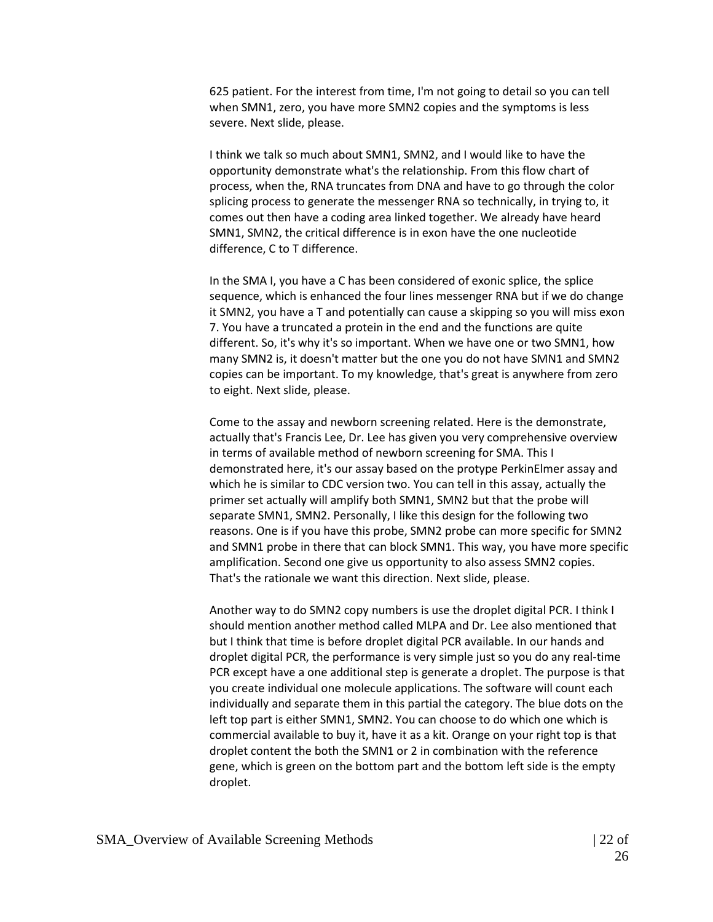625 patient. For the interest from time, I'm not going to detail so you can tell when SMN1, zero, you have more SMN2 copies and the symptoms is less severe. Next slide, please.

I think we talk so much about SMN1, SMN2, and I would like to have the opportunity demonstrate what's the relationship. From this flow chart of process, when the, RNA truncates from DNA and have to go through the color splicing process to generate the messenger RNA so technically, in trying to, it comes out then have a coding area linked together. We already have heard SMN1, SMN2, the critical difference is in exon have the one nucleotide difference, C to T difference.

In the SMA I, you have a C has been considered of exonic splice, the splice sequence, which is enhanced the four lines messenger RNA but if we do change it SMN2, you have a T and potentially can cause a skipping so you will miss exon 7. You have a truncated a protein in the end and the functions are quite different. So, it's why it's so important. When we have one or two SMN1, how many SMN2 is, it doesn't matter but the one you do not have SMN1 and SMN2 copies can be important. To my knowledge, that's great is anywhere from zero to eight. Next slide, please.

Come to the assay and newborn screening related. Here is the demonstrate, actually that's Francis Lee, Dr. Lee has given you very comprehensive overview in terms of available method of newborn screening for SMA. This I demonstrated here, it's our assay based on the protype PerkinElmer assay and which he is similar to CDC version two. You can tell in this assay, actually the primer set actually will amplify both SMN1, SMN2 but that the probe will separate SMN1, SMN2. Personally, I like this design for the following two reasons. One is if you have this probe, SMN2 probe can more specific for SMN2 and SMN1 probe in there that can block SMN1. This way, you have more specific amplification. Second one give us opportunity to also assess SMN2 copies. That's the rationale we want this direction. Next slide, please.

Another way to do SMN2 copy numbers is use the droplet digital PCR. I think I should mention another method called MLPA and Dr. Lee also mentioned that but I think that time is before droplet digital PCR available. In our hands and droplet digital PCR, the performance is very simple just so you do any real-time PCR except have a one additional step is generate a droplet. The purpose is that you create individual one molecule applications. The software will count each individually and separate them in this partial the category. The blue dots on the left top part is either SMN1, SMN2. You can choose to do which one which is commercial available to buy it, have it as a kit. Orange on your right top is that droplet content the both the SMN1 or 2 in combination with the reference gene, which is green on the bottom part and the bottom left side is the empty droplet.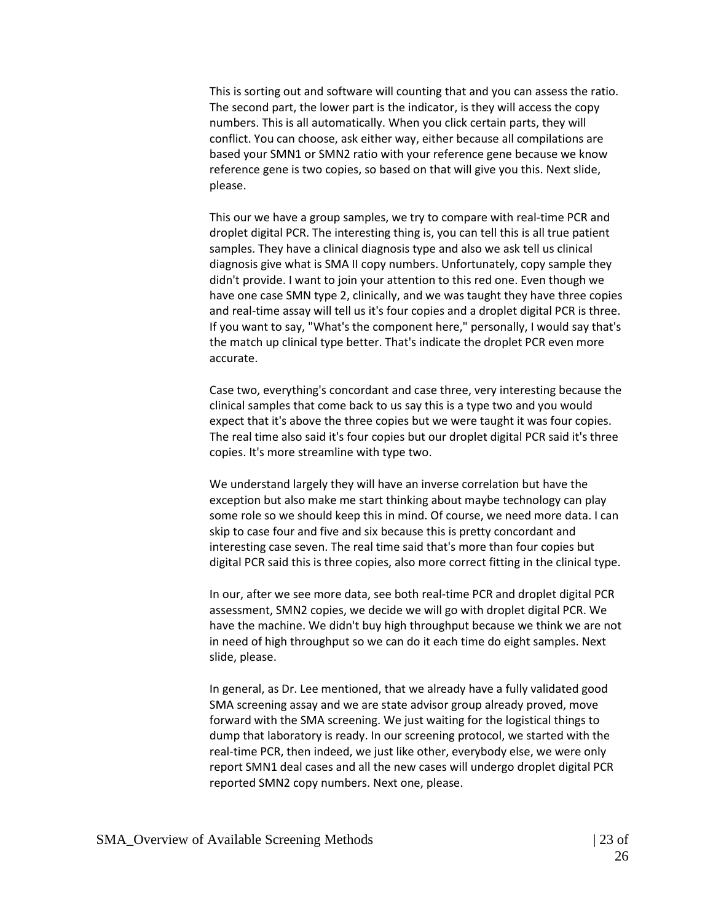This is sorting out and software will counting that and you can assess the ratio. The second part, the lower part is the indicator, is they will access the copy numbers. This is all automatically. When you click certain parts, they will conflict. You can choose, ask either way, either because all compilations are based your SMN1 or SMN2 ratio with your reference gene because we know reference gene is two copies, so based on that will give you this. Next slide, please.

This our we have a group samples, we try to compare with real-time PCR and droplet digital PCR. The interesting thing is, you can tell this is all true patient samples. They have a clinical diagnosis type and also we ask tell us clinical diagnosis give what is SMA II copy numbers. Unfortunately, copy sample they didn't provide. I want to join your attention to this red one. Even though we have one case SMN type 2, clinically, and we was taught they have three copies and real-time assay will tell us it's four copies and a droplet digital PCR is three. If you want to say, "What's the component here," personally, I would say that's the match up clinical type better. That's indicate the droplet PCR even more accurate.

Case two, everything's concordant and case three, very interesting because the clinical samples that come back to us say this is a type two and you would expect that it's above the three copies but we were taught it was four copies. The real time also said it's four copies but our droplet digital PCR said it's three copies. It's more streamline with type two.

We understand largely they will have an inverse correlation but have the exception but also make me start thinking about maybe technology can play some role so we should keep this in mind. Of course, we need more data. I can skip to case four and five and six because this is pretty concordant and interesting case seven. The real time said that's more than four copies but digital PCR said this is three copies, also more correct fitting in the clinical type.

In our, after we see more data, see both real-time PCR and droplet digital PCR assessment, SMN2 copies, we decide we will go with droplet digital PCR. We have the machine. We didn't buy high throughput because we think we are not in need of high throughput so we can do it each time do eight samples. Next slide, please.

In general, as Dr. Lee mentioned, that we already have a fully validated good SMA screening assay and we are state advisor group already proved, move forward with the SMA screening. We just waiting for the logistical things to dump that laboratory is ready. In our screening protocol, we started with the real-time PCR, then indeed, we just like other, everybody else, we were only report SMN1 deal cases and all the new cases will undergo droplet digital PCR reported SMN2 copy numbers. Next one, please.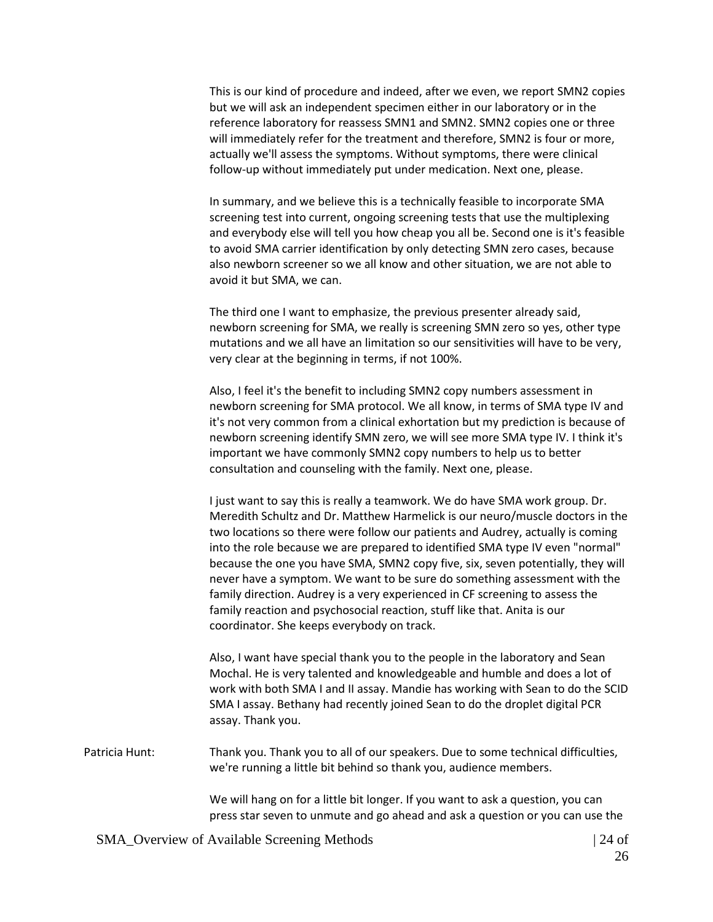This is our kind of procedure and indeed, after we even, we report SMN2 copies but we will ask an independent specimen either in our laboratory or in the reference laboratory for reassess SMN1 and SMN2. SMN2 copies one or three will immediately refer for the treatment and therefore, SMN2 is four or more, actually we'll assess the symptoms. Without symptoms, there were clinical follow-up without immediately put under medication. Next one, please.

In summary, and we believe this is a technically feasible to incorporate SMA screening test into current, ongoing screening tests that use the multiplexing and everybody else will tell you how cheap you all be. Second one is it's feasible to avoid SMA carrier identification by only detecting SMN zero cases, because also newborn screener so we all know and other situation, we are not able to avoid it but SMA, we can.

The third one I want to emphasize, the previous presenter already said, newborn screening for SMA, we really is screening SMN zero so yes, other type mutations and we all have an limitation so our sensitivities will have to be very, very clear at the beginning in terms, if not 100%.

Also, I feel it's the benefit to including SMN2 copy numbers assessment in newborn screening for SMA protocol. We all know, in terms of SMA type IV and it's not very common from a clinical exhortation but my prediction is because of newborn screening identify SMN zero, we will see more SMA type IV. I think it's important we have commonly SMN2 copy numbers to help us to better consultation and counseling with the family. Next one, please.

I just want to say this is really a teamwork. We do have SMA work group. Dr. Meredith Schultz and Dr. Matthew Harmelick is our neuro/muscle doctors in the two locations so there were follow our patients and Audrey, actually is coming into the role because we are prepared to identified SMA type IV even "normal" because the one you have SMA, SMN2 copy five, six, seven potentially, they will never have a symptom. We want to be sure do something assessment with the family direction. Audrey is a very experienced in CF screening to assess the family reaction and psychosocial reaction, stuff like that. Anita is our coordinator. She keeps everybody on track.

Also, I want have special thank you to the people in the laboratory and Sean Mochal. He is very talented and knowledgeable and humble and does a lot of work with both SMA I and II assay. Mandie has working with Sean to do the SCID SMA I assay. Bethany had recently joined Sean to do the droplet digital PCR assay. Thank you.

Patricia Hunt: Thank you. Thank you to all of our speakers. Due to some technical difficulties, we're running a little bit behind so thank you, audience members.

> We will hang on for a little bit longer. If you want to ask a question, you can press star seven to unmute and go ahead and ask a question or you can use the

SMA Overview of Available Screening Methods | 24 of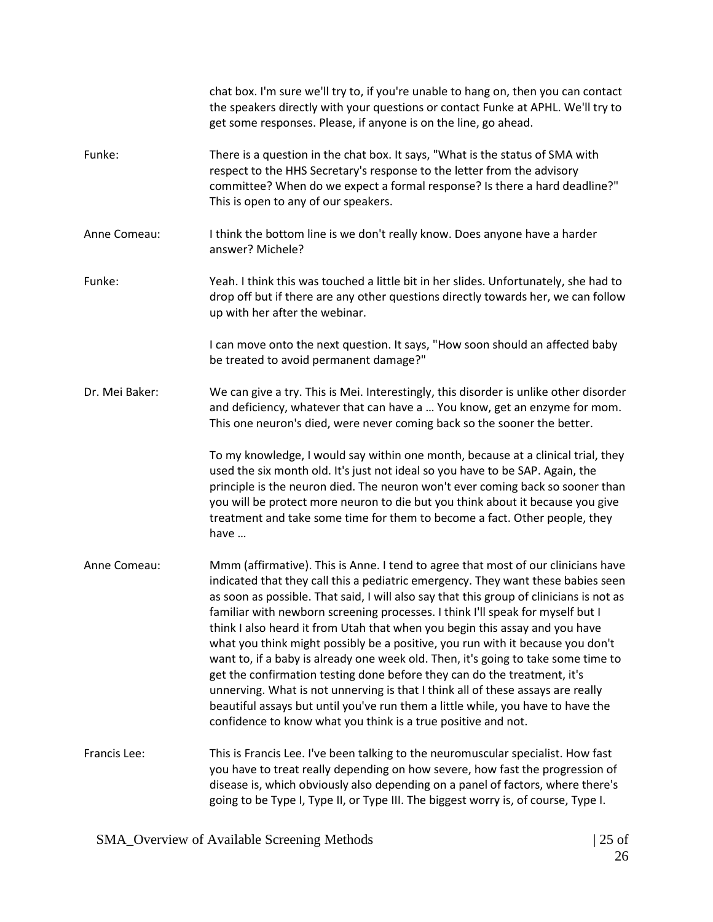|                | chat box. I'm sure we'll try to, if you're unable to hang on, then you can contact<br>the speakers directly with your questions or contact Funke at APHL. We'll try to<br>get some responses. Please, if anyone is on the line, go ahead.                                                                                                                                                                                                                                                                                                                                                                                                                                                                                                                                                                                                                                                                                   |
|----------------|-----------------------------------------------------------------------------------------------------------------------------------------------------------------------------------------------------------------------------------------------------------------------------------------------------------------------------------------------------------------------------------------------------------------------------------------------------------------------------------------------------------------------------------------------------------------------------------------------------------------------------------------------------------------------------------------------------------------------------------------------------------------------------------------------------------------------------------------------------------------------------------------------------------------------------|
| Funke:         | There is a question in the chat box. It says, "What is the status of SMA with<br>respect to the HHS Secretary's response to the letter from the advisory<br>committee? When do we expect a formal response? Is there a hard deadline?"<br>This is open to any of our speakers.                                                                                                                                                                                                                                                                                                                                                                                                                                                                                                                                                                                                                                              |
| Anne Comeau:   | I think the bottom line is we don't really know. Does anyone have a harder<br>answer? Michele?                                                                                                                                                                                                                                                                                                                                                                                                                                                                                                                                                                                                                                                                                                                                                                                                                              |
| Funke:         | Yeah. I think this was touched a little bit in her slides. Unfortunately, she had to<br>drop off but if there are any other questions directly towards her, we can follow<br>up with her after the webinar.                                                                                                                                                                                                                                                                                                                                                                                                                                                                                                                                                                                                                                                                                                                 |
|                | I can move onto the next question. It says, "How soon should an affected baby<br>be treated to avoid permanent damage?"                                                                                                                                                                                                                                                                                                                                                                                                                                                                                                                                                                                                                                                                                                                                                                                                     |
| Dr. Mei Baker: | We can give a try. This is Mei. Interestingly, this disorder is unlike other disorder<br>and deficiency, whatever that can have a  You know, get an enzyme for mom.<br>This one neuron's died, were never coming back so the sooner the better.                                                                                                                                                                                                                                                                                                                                                                                                                                                                                                                                                                                                                                                                             |
|                | To my knowledge, I would say within one month, because at a clinical trial, they<br>used the six month old. It's just not ideal so you have to be SAP. Again, the<br>principle is the neuron died. The neuron won't ever coming back so sooner than<br>you will be protect more neuron to die but you think about it because you give<br>treatment and take some time for them to become a fact. Other people, they<br>have                                                                                                                                                                                                                                                                                                                                                                                                                                                                                                 |
| Anne Comeau:   | Mmm (affirmative). This is Anne. I tend to agree that most of our clinicians have<br>indicated that they call this a pediatric emergency. They want these babies seen<br>as soon as possible. That said, I will also say that this group of clinicians is not as<br>familiar with newborn screening processes. I think I'll speak for myself but I<br>think I also heard it from Utah that when you begin this assay and you have<br>what you think might possibly be a positive, you run with it because you don't<br>want to, if a baby is already one week old. Then, it's going to take some time to<br>get the confirmation testing done before they can do the treatment, it's<br>unnerving. What is not unnerving is that I think all of these assays are really<br>beautiful assays but until you've run them a little while, you have to have the<br>confidence to know what you think is a true positive and not. |
| Francis Lee:   | This is Francis Lee. I've been talking to the neuromuscular specialist. How fast<br>you have to treat really depending on how severe, how fast the progression of<br>disease is, which obviously also depending on a panel of factors, where there's<br>going to be Type I, Type II, or Type III. The biggest worry is, of course, Type I.                                                                                                                                                                                                                                                                                                                                                                                                                                                                                                                                                                                  |